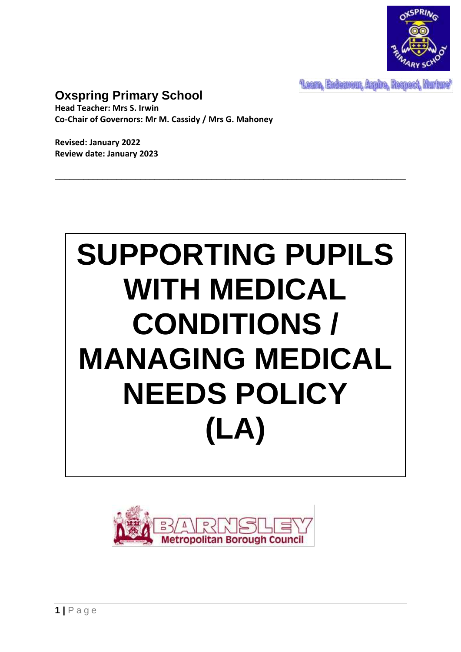

Learn, Endeavour, Aspire, Respect, Nurture'

# **Oxspring Primary School**

**Head Teacher: Mrs S. Irwin Co-Chair of Governors: Mr M. Cassidy / Mrs G. Mahoney**

**Revised: January 2022 Review date: January 2023**



\_\_\_\_\_\_\_\_\_\_\_\_\_\_\_\_\_\_\_\_\_\_\_\_\_\_\_\_\_\_\_\_\_\_\_\_\_\_\_\_\_\_\_\_\_\_\_\_\_\_\_\_\_\_\_\_\_\_\_\_\_\_\_\_\_\_\_\_\_\_\_\_\_\_

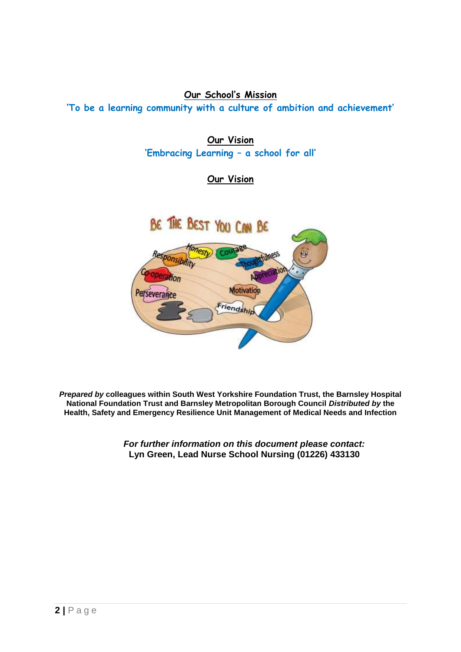## **Our School's Mission**

**'To be a learning community with a culture of ambition and achievement'**

**Our Vision 'Embracing Learning – a school for all'**

## **Our Vision**



*Prepared by* **colleagues within South West Yorkshire Foundation Trust, the Barnsley Hospital National Foundation Trust and Barnsley Metropolitan Borough Council** *Distributed by* **the Health, Safety and Emergency Resilience Unit Management of Medical Needs and Infection** 

> *For further information on this document please contact:* **Lyn Green, Lead Nurse School Nursing (01226) 433130**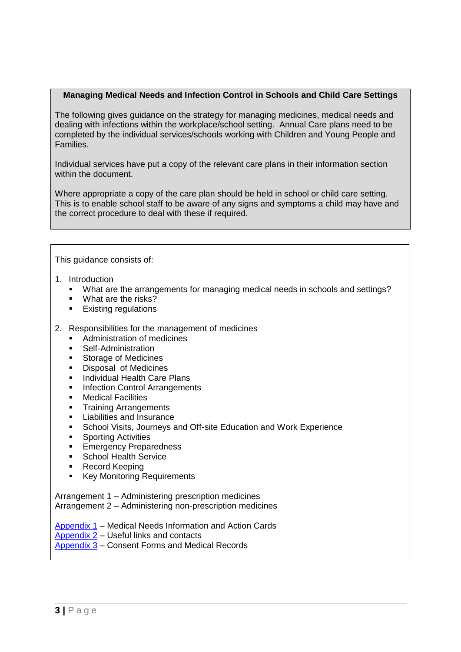## **Managing Medical Needs and Infection Control in Schools and Child Care Settings**

The following gives guidance on the strategy for managing medicines, medical needs and dealing with infections within the workplace/school setting. Annual Care plans need to be completed by the individual services/schools working with Children and Young People and Families.

Individual services have put a copy of the relevant care plans in their information section within the document.

Where appropriate a copy of the care plan should be held in school or child care setting. This is to enable school staff to be aware of any signs and symptoms a child may have and the correct procedure to deal with these if required.

#### This guidance consists of:

- 1. Introduction
	- What are the arrangements for managing medical needs in schools and settings?
	- **What are the risks?**
	- **Existing regulations**
- 2. Responsibilities for the management of medicines
	- **Administration of medicines**
	- **Self-Administration**
	- **Storage of Medicines**
	- **Disposal of Medicines**
	- **Individual Health Care Plans**
	- **Infection Control Arrangements**
	- **•** Medical Facilities
	- **Training Arrangements**
	- **Liabilities and Insurance**
	- **-** School Visits, Journeys and Off-site Education and Work Experience
	- **Sporting Activities**
	- **Emergency Preparedness**
	- **School Health Service**
	- Record Keeping
	- **Key Monitoring Requirements**

Arrangement 1 – Administering prescription medicines Arrangement 2 – Administering non-prescription medicines

[Appendix 1](#page-14-0) – Medical Needs Information and Action Cards

[Appendix 2](#page-56-0) – Useful links and contacts

[Appendix 3](#page-57-0) – Consent Forms and Medical Records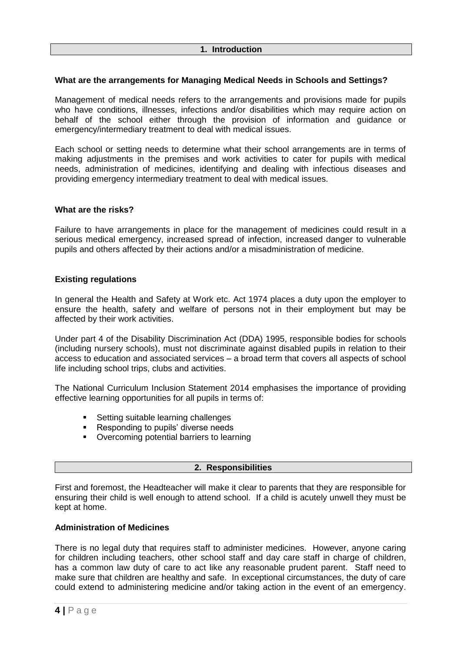## **What are the arrangements for Managing Medical Needs in Schools and Settings?**

Management of medical needs refers to the arrangements and provisions made for pupils who have conditions, illnesses, infections and/or disabilities which may require action on behalf of the school either through the provision of information and guidance or emergency/intermediary treatment to deal with medical issues.

Each school or setting needs to determine what their school arrangements are in terms of making adjustments in the premises and work activities to cater for pupils with medical needs, administration of medicines, identifying and dealing with infectious diseases and providing emergency intermediary treatment to deal with medical issues.

## **What are the risks?**

Failure to have arrangements in place for the management of medicines could result in a serious medical emergency, increased spread of infection, increased danger to vulnerable pupils and others affected by their actions and/or a misadministration of medicine.

## **Existing regulations**

In general the Health and Safety at Work etc. Act 1974 places a duty upon the employer to ensure the health, safety and welfare of persons not in their employment but may be affected by their work activities.

Under part 4 of the Disability Discrimination Act (DDA) 1995, responsible bodies for schools (including nursery schools), must not discriminate against disabled pupils in relation to their access to education and associated services – a broad term that covers all aspects of school life including school trips, clubs and activities.

The National Curriculum Inclusion Statement 2014 emphasises the importance of providing effective learning opportunities for all pupils in terms of:

- **Setting suitable learning challenges**
- **Responding to pupils' diverse needs**
- **•** Overcoming potential barriers to learning

## **2. Responsibilities**

First and foremost, the Headteacher will make it clear to parents that they are responsible for ensuring their child is well enough to attend school. If a child is acutely unwell they must be kept at home.

## **Administration of Medicines**

There is no legal duty that requires staff to administer medicines. However, anyone caring for children including teachers, other school staff and day care staff in charge of children, has a common law duty of care to act like any reasonable prudent parent. Staff need to make sure that children are healthy and safe. In exceptional circumstances, the duty of care could extend to administering medicine and/or taking action in the event of an emergency.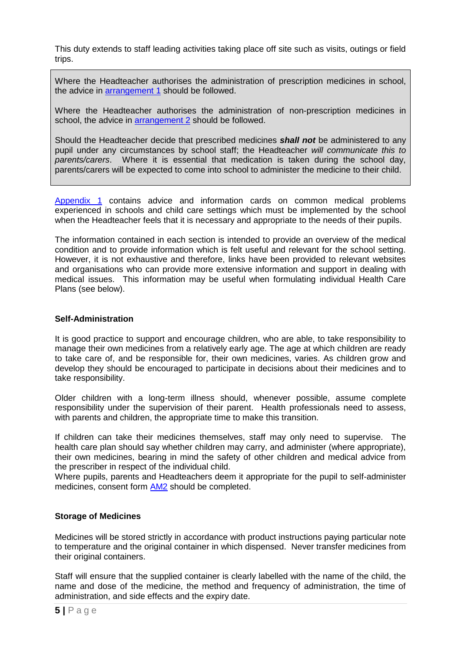This duty extends to staff leading activities taking place off site such as visits, outings or field trips.

Where the Headteacher authorises the administration of prescription medicines in school, the advice in [arrangement](#page-12-0) 1 should be followed.

Where the Headteacher authorises the administration of non-prescription medicines in school, the advice in [arrangement](#page-13-0) 2 should be followed.

Should the Headteacher decide that prescribed medicines *shall not* be administered to any pupil under any circumstances by school staff; the Headteacher *will communicate this to parents/carers*. Where it is essential that medication is taken during the school day, parents/carers will be expected to come into school to administer the medicine to their child.

[Appendix 1](#page-14-0) contains advice and information cards on common medical problems experienced in schools and child care settings which must be implemented by the school when the Headteacher feels that it is necessary and appropriate to the needs of their pupils.

The information contained in each section is intended to provide an overview of the medical condition and to provide information which is felt useful and relevant for the school setting. However, it is not exhaustive and therefore, links have been provided to relevant websites and organisations who can provide more extensive information and support in dealing with medical issues. This information may be useful when formulating individual Health Care Plans (see below).

## **Self-Administration**

It is good practice to support and encourage children, who are able, to take responsibility to manage their own medicines from a relatively early age. The age at which children are ready to take care of, and be responsible for, their own medicines, varies. As children grow and develop they should be encouraged to participate in decisions about their medicines and to take responsibility.

Older children with a long-term illness should, whenever possible, assume complete responsibility under the supervision of their parent. Health professionals need to assess, with parents and children, the appropriate time to make this transition.

If children can take their medicines themselves, staff may only need to supervise. The health care plan should say whether children may carry, and administer (where appropriate), their own medicines, bearing in mind the safety of other children and medical advice from the prescriber in respect of the individual child.

Where pupils, parents and Headteachers deem it appropriate for the pupil to self-administer medicines, consent form [AM2](#page-60-0) should be completed.

## **Storage of Medicines**

Medicines will be stored strictly in accordance with product instructions paying particular note to temperature and the original container in which dispensed. Never transfer medicines from their original containers.

Staff will ensure that the supplied container is clearly labelled with the name of the child, the name and dose of the medicine, the method and frequency of administration, the time of administration, and side effects and the expiry date.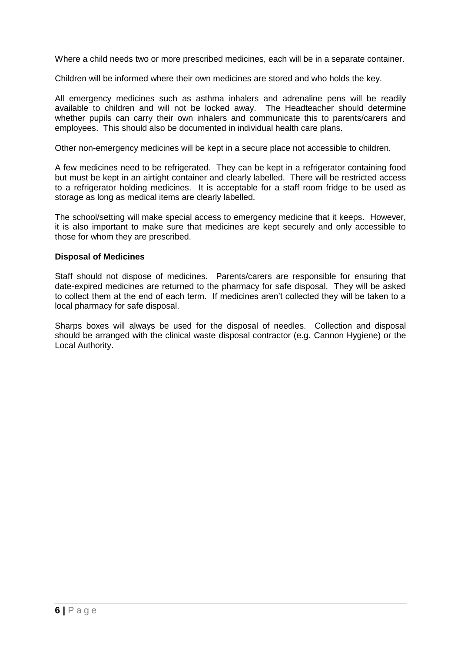Where a child needs two or more prescribed medicines, each will be in a separate container.

Children will be informed where their own medicines are stored and who holds the key.

All emergency medicines such as asthma inhalers and adrenaline pens will be readily available to children and will not be locked away. The Headteacher should determine whether pupils can carry their own inhalers and communicate this to parents/carers and employees. This should also be documented in individual health care plans.

Other non-emergency medicines will be kept in a secure place not accessible to children.

A few medicines need to be refrigerated. They can be kept in a refrigerator containing food but must be kept in an airtight container and clearly labelled. There will be restricted access to a refrigerator holding medicines. It is acceptable for a staff room fridge to be used as storage as long as medical items are clearly labelled.

The school/setting will make special access to emergency medicine that it keeps. However, it is also important to make sure that medicines are kept securely and only accessible to those for whom they are prescribed.

#### **Disposal of Medicines**

Staff should not dispose of medicines. Parents/carers are responsible for ensuring that date-expired medicines are returned to the pharmacy for safe disposal. They will be asked to collect them at the end of each term. If medicines aren't collected they will be taken to a local pharmacy for safe disposal.

Sharps boxes will always be used for the disposal of needles. Collection and disposal should be arranged with the clinical waste disposal contractor (e.g. Cannon Hygiene) or the Local Authority.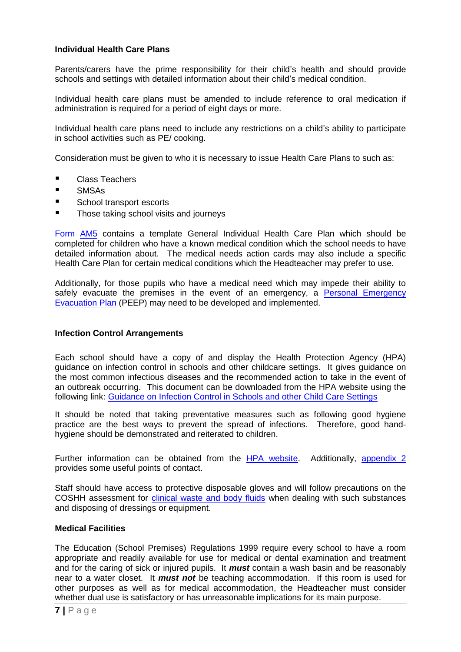## **Individual Health Care Plans**

Parents/carers have the prime responsibility for their child's health and should provide schools and settings with detailed information about their child's medical condition.

Individual health care plans must be amended to include reference to oral medication if administration is required for a period of eight days or more.

Individual health care plans need to include any restrictions on a child's ability to participate in school activities such as PE/ cooking.

Consideration must be given to who it is necessary to issue Health Care Plans to such as:

- Class Teachers
- **SMSAs**
- School transport escorts
- **Those taking school visits and journeys**

Form [AM5](#page-66-0) contains a template General Individual Health Care Plan which should be completed for children who have a known medical condition which the school needs to have detailed information about. The medical needs action cards may also include a specific Health Care Plan for certain medical conditions which the Headteacher may prefer to use.

Additionally, for those pupils who have a medical need which may impede their ability to safely evacuate the premises in the event of an emergency, a [Personal Emergency](http://intranetapplications.barnsley.gov.uk/docs/departmentsites/HealthAndSafety/peepsjune2009.rtf)  [Evacuation Plan](http://intranetapplications.barnsley.gov.uk/docs/departmentsites/HealthAndSafety/peepsjune2009.rtf) (PEEP) may need to be developed and implemented.

#### **Infection Control Arrangements**

Each school should have a copy of and display the Health Protection Agency (HPA) guidance on infection control in schools and other childcare settings. It gives guidance on the most common infectious diseases and the recommended action to take in the event of an outbreak occurring. This document can be downloaded from the HPA website using the following link: [Guidance on Infection Control in Schools and other Child Care Settings](http://www.hpa.org.uk/web/HPAweb&HPAwebStandard/HPAweb_C/1203496946639)

It should be noted that taking preventative measures such as following good hygiene practice are the best ways to prevent the spread of infections. Therefore, good handhygiene should be demonstrated and reiterated to children.

Further information can be obtained from the [HPA website.](http://www.hpa.org.uk/Topics/InfectiousDiseases/InfectionsAZ/SchoolsGuidanceOnInfectionControl/) Additionally, [appendix 2](#page-56-0) provides some useful points of contact.

Staff should have access to protective disposable gloves and will follow precautions on the COSHH assessment for [clinical waste and body fluids](http://intranetapplications.barnsley.gov.uk/docs/departmentsites/HealthAndSafety/hands-coshh-bodywaste.pdf) when dealing with such substances and disposing of dressings or equipment.

## **Medical Facilities**

The Education (School Premises) Regulations 1999 require every school to have a room appropriate and readily available for use for medical or dental examination and treatment and for the caring of sick or injured pupils. It *must* contain a wash basin and be reasonably near to a water closet. It *must not* be teaching accommodation. If this room is used for other purposes as well as for medical accommodation, the Headteacher must consider whether dual use is satisfactory or has unreasonable implications for its main purpose.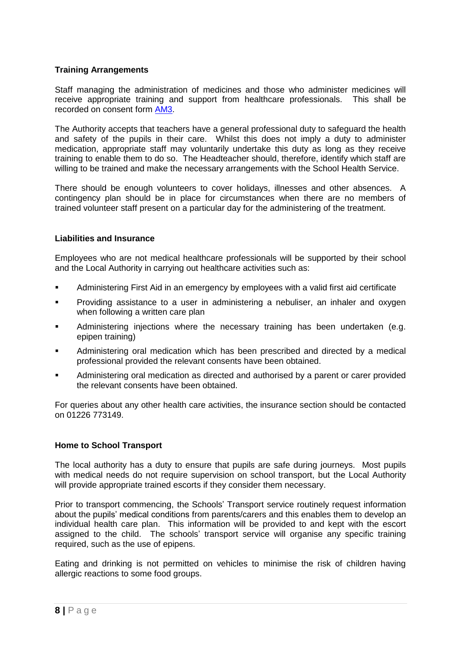## **Training Arrangements**

Staff managing the administration of medicines and those who administer medicines will receive appropriate training and support from healthcare professionals. This shall be recorded on consent form [AM3.](#page-62-0)

The Authority accepts that teachers have a general professional duty to safeguard the health and safety of the pupils in their care. Whilst this does not imply a duty to administer medication, appropriate staff may voluntarily undertake this duty as long as they receive training to enable them to do so. The Headteacher should, therefore, identify which staff are willing to be trained and make the necessary arrangements with the School Health Service.

There should be enough volunteers to cover holidays, illnesses and other absences. A contingency plan should be in place for circumstances when there are no members of trained volunteer staff present on a particular day for the administering of the treatment.

## **Liabilities and Insurance**

Employees who are not medical healthcare professionals will be supported by their school and the Local Authority in carrying out healthcare activities such as:

- Administering First Aid in an emergency by employees with a valid first aid certificate
- Providing assistance to a user in administering a nebuliser, an inhaler and oxygen when following a written care plan
- Administering injections where the necessary training has been undertaken (e.g. epipen training)
- Administering oral medication which has been prescribed and directed by a medical professional provided the relevant consents have been obtained.
- Administering oral medication as directed and authorised by a parent or carer provided the relevant consents have been obtained.

For queries about any other health care activities, the insurance section should be contacted on 01226 773149.

## **Home to School Transport**

The local authority has a duty to ensure that pupils are safe during journeys. Most pupils with medical needs do not require supervision on school transport, but the Local Authority will provide appropriate trained escorts if they consider them necessary.

Prior to transport commencing, the Schools' Transport service routinely request information about the pupils' medical conditions from parents/carers and this enables them to develop an individual health care plan. This information will be provided to and kept with the escort assigned to the child. The schools' transport service will organise any specific training required, such as the use of epipens.

Eating and drinking is not permitted on vehicles to minimise the risk of children having allergic reactions to some food groups.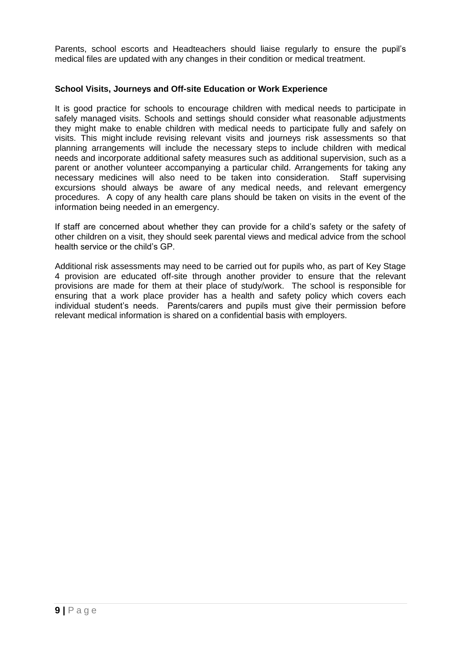Parents, school escorts and Headteachers should liaise regularly to ensure the pupil's medical files are updated with any changes in their condition or medical treatment.

#### **School Visits, Journeys and Off-site Education or Work Experience**

It is good practice for schools to encourage children with medical needs to participate in safely managed visits. Schools and settings should consider what reasonable adjustments they might make to enable children with medical needs to participate fully and safely on visits. This might include revising relevant visits and journeys risk assessments so that planning arrangements will include the necessary steps to include children with medical needs and incorporate additional safety measures such as additional supervision, such as a parent or another volunteer accompanying a particular child. Arrangements for taking any necessary medicines will also need to be taken into consideration. Staff supervising excursions should always be aware of any medical needs, and relevant emergency procedures. A copy of any health care plans should be taken on visits in the event of the information being needed in an emergency.

If staff are concerned about whether they can provide for a child's safety or the safety of other children on a visit, they should seek parental views and medical advice from the school health service or the child's GP.

Additional risk assessments may need to be carried out for pupils who, as part of Key Stage 4 provision are educated off-site through another provider to ensure that the relevant provisions are made for them at their place of study/work. The school is responsible for ensuring that a work place provider has a health and safety policy which covers each individual student's needs. Parents/carers and pupils must give their permission before relevant medical information is shared on a confidential basis with employers.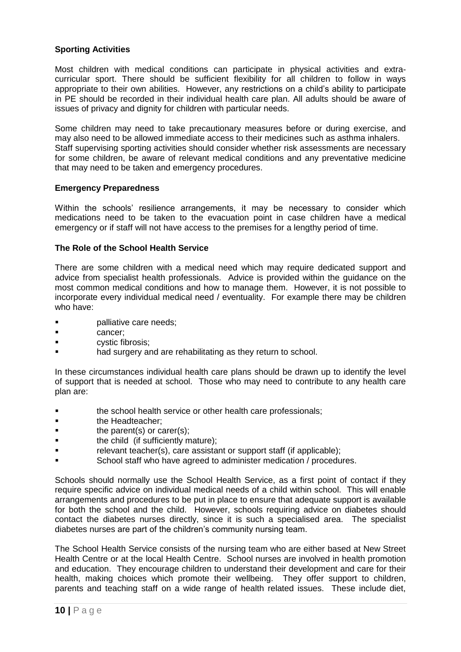## **Sporting Activities**

Most children with medical conditions can participate in physical activities and extracurricular sport. There should be sufficient flexibility for all children to follow in ways appropriate to their own abilities. However, any restrictions on a child's ability to participate in PE should be recorded in their individual health care plan. All adults should be aware of issues of privacy and dignity for children with particular needs.

Some children may need to take precautionary measures before or during exercise, and may also need to be allowed immediate access to their medicines such as asthma inhalers. Staff supervising sporting activities should consider whether risk assessments are necessary for some children, be aware of relevant medical conditions and any preventative medicine that may need to be taken and emergency procedures.

## **Emergency Preparedness**

Within the schools' resilience arrangements, it may be necessary to consider which medications need to be taken to the evacuation point in case children have a medical emergency or if staff will not have access to the premises for a lengthy period of time.

## **The Role of the School Health Service**

There are some children with a medical need which may require dedicated support and advice from specialist health professionals. Advice is provided within the guidance on the most common medical conditions and how to manage them. However, it is not possible to incorporate every individual medical need / eventuality. For example there may be children who have:

- palliative care needs;
- cancer;
- **Example 3** cystic fibrosis;
- **Example 3** had surgery and are rehabilitating as they return to school.

In these circumstances individual health care plans should be drawn up to identify the level of support that is needed at school. Those who may need to contribute to any health care plan are:

- the school health service or other health care professionals;
- **the Headteacher:**
- **the parent(s) or carer(s);**
- **the child (if sufficiently mature);**
- **F** relevant teacher(s), care assistant or support staff (if applicable);
- School staff who have agreed to administer medication / procedures.

Schools should normally use the School Health Service, as a first point of contact if they require specific advice on individual medical needs of a child within school. This will enable arrangements and procedures to be put in place to ensure that adequate support is available for both the school and the child. However, schools requiring advice on diabetes should contact the diabetes nurses directly, since it is such a specialised area. The specialist diabetes nurses are part of the children's community nursing team.

The School Health Service consists of the nursing team who are either based at New Street Health Centre or at the local Health Centre. School nurses are involved in health promotion and education. They encourage children to understand their development and care for their health, making choices which promote their wellbeing. They offer support to children, parents and teaching staff on a wide range of health related issues. These include diet,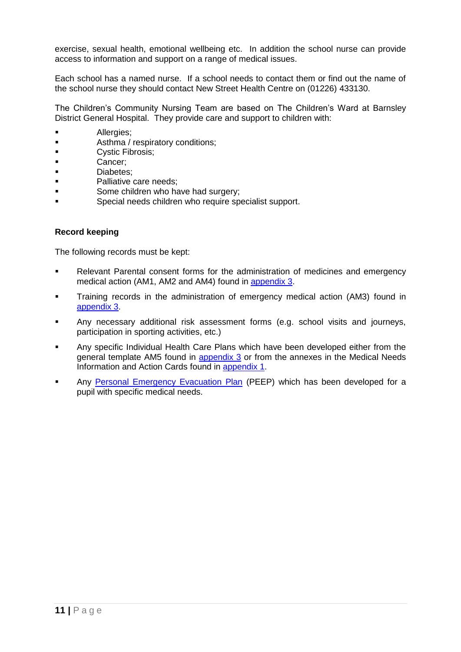exercise, sexual health, emotional wellbeing etc. In addition the school nurse can provide access to information and support on a range of medical issues.

Each school has a named nurse. If a school needs to contact them or find out the name of the school nurse they should contact New Street Health Centre on (01226) 433130.

The Children's Community Nursing Team are based on The Children's Ward at Barnsley District General Hospital. They provide care and support to children with:

- **Allergies**:
- **Asthma / respiratory conditions;**
- **Cystic Fibrosis;**
- **Cancer:**
- **Diabetes:**
- **Palliative care needs;**
- Some children who have had surgery:
- **Special needs children who require specialist support.**

#### **Record keeping**

The following records must be kept:

- Relevant Parental consent forms for the administration of medicines and emergency medical action (AM1, AM2 and AM4) found in [appendix 3.](#page-57-0)
- Training records in the administration of emergency medical action (AM3) found in [appendix 3.](#page-57-0)
- Any necessary additional risk assessment forms (e.g. school visits and journeys, participation in sporting activities, etc.)
- Any specific Individual Health Care Plans which have been developed either from the general template AM5 found in [appendix 3](#page-57-0) or from the annexes in the Medical Needs Information and Action Cards found in [appendix 1.](#page-14-0)
- **Any [Personal Emergency Evacuation Plan](http://intranetapplications.barnsley.gov.uk/docs/departmentsites/HealthAndSafety/peepsjune2009.rtf) (PEEP)** which has been developed for a pupil with specific medical needs.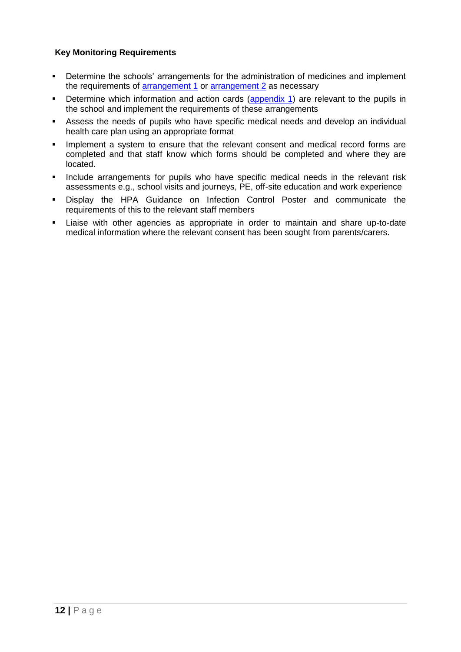## **Key Monitoring Requirements**

- Determine the schools' arrangements for the administration of medicines and implement the requirements of [arrangement 1](#page-12-0) or [arrangement 2](#page-13-0) as necessary
- Determine which information and action cards [\(appendix 1\)](#page-14-0) are relevant to the pupils in the school and implement the requirements of these arrangements
- Assess the needs of pupils who have specific medical needs and develop an individual health care plan using an appropriate format
- **IMPLEMENTE 19 Implement a system to ensure that the relevant consent and medical record forms are** completed and that staff know which forms should be completed and where they are located.
- **Include arrangements for pupils who have specific medical needs in the relevant risk** assessments e.g., school visits and journeys, PE, off-site education and work experience
- Display the HPA Guidance on Infection Control Poster and communicate the requirements of this to the relevant staff members
- Liaise with other agencies as appropriate in order to maintain and share up-to-date medical information where the relevant consent has been sought from parents/carers.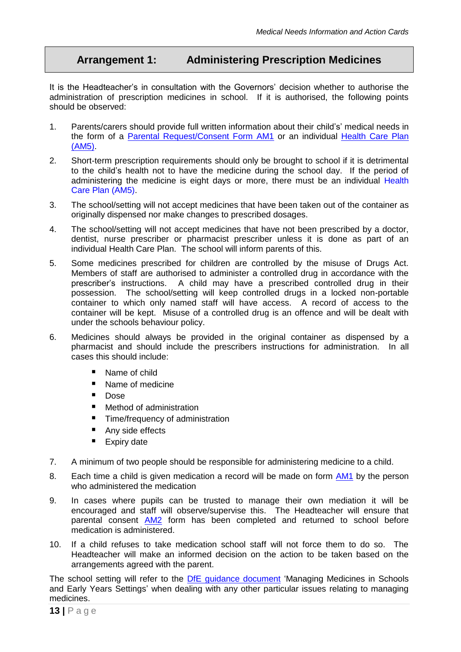# <span id="page-12-0"></span>**Arrangement 1: Administering Prescription Medicines**

It is the Headteacher's in consultation with the Governors' decision whether to authorise the administration of prescription medicines in school. If it is authorised, the following points should be observed:

- 1. Parents/carers should provide full written information about their child's' medical needs in the form of a [Parental Request/Consent Form](#page-58-0) AM1 or an individual [Health Care Plan](#page-66-1) [\(AM5\).](#page-66-1)
- 2. Short-term prescription requirements should only be brought to school if it is detrimental to the child's health not to have the medicine during the school day. If the period of administering the medicine is eight days or more, there must be an individual Health Care Plan (AM5).
- 3. The school/setting will not accept medicines that have been taken out of the container as originally dispensed nor make changes to prescribed dosages.
- 4. The school/setting will not accept medicines that have not been prescribed by a doctor, dentist, nurse prescriber or pharmacist prescriber unless it is done as part of an individual Health Care Plan. The school will inform parents of this.
- 5. Some medicines prescribed for children are controlled by the misuse of Drugs Act. Members of staff are authorised to administer a controlled drug in accordance with the prescriber's instructions. A child may have a prescribed controlled drug in their possession. The school/setting will keep controlled drugs in a locked non-portable container to which only named staff will have access. A record of access to the container will be kept. Misuse of a controlled drug is an offence and will be dealt with under the schools behaviour policy.
- 6. Medicines should always be provided in the original container as dispensed by a pharmacist and should include the prescribers instructions for administration. In all cases this should include:
	- Name of child
	- Name of medicine
	- **Dose**
	- Method of administration
	- **Time/frequency of administration**
	- Any side effects
	- **Expiry date**
- 7. A minimum of two people should be responsible for administering medicine to a child.
- 8. Each time a child is given medication a record will be made on form [AM1](#page-58-0) by the person who administered the medication
- 9. In cases where pupils can be trusted to manage their own mediation it will be encouraged and staff will observe/supervise this. The Headteacher will ensure that parental consent [AM2](#page-60-1) form has been completed and returned to school before medication is administered.
- 10. If a child refuses to take medication school staff will not force them to do so. The Headteacher will make an informed decision on the action to be taken based on the arrangements agreed with the parent.

The school setting will refer to the **DfE** [guidance document](https://www.education.gov.uk/publications/standard/publicationdetail/page1/DFES-1448-2005) 'Managing Medicines in Schools and Early Years Settings' when dealing with any other particular issues relating to managing medicines.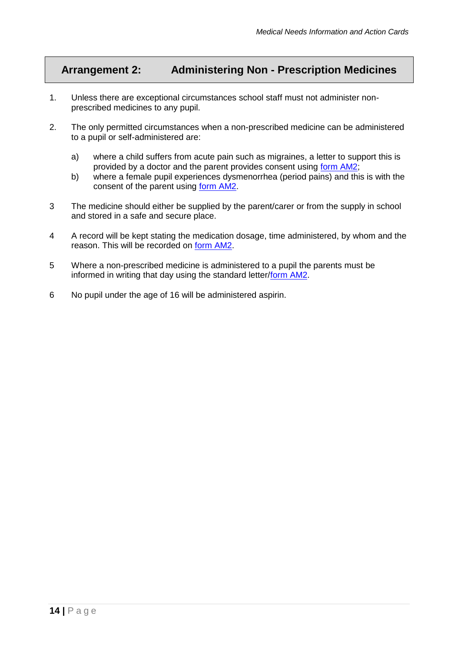# <span id="page-13-0"></span>**Arrangement 2: Administering Non - Prescription Medicines**

- 1. Unless there are exceptional circumstances school staff must not administer nonprescribed medicines to any pupil.
- 2. The only permitted circumstances when a non-prescribed medicine can be administered to a pupil or self-administered are:
	- a) where a child suffers from acute pain such as migraines, a letter to support this is provided by a doctor and the parent provides consent using [form AM2;](#page-60-1)
	- b) where a female pupil experiences dysmenorrhea (period pains) and this is with the consent of the parent using [form AM2.](#page-60-1)
- 3 The medicine should either be supplied by the parent/carer or from the supply in school and stored in a safe and secure place.
- 4 A record will be kept stating the medication dosage, time administered, by whom and the reason. This will be recorded on [form AM2.](#page-60-1)
- 5 Where a non-prescribed medicine is administered to a pupil the parents must be informed in writing that day using the standard letter[/form AM2.](#page-60-1)
- 6 No pupil under the age of 16 will be administered aspirin.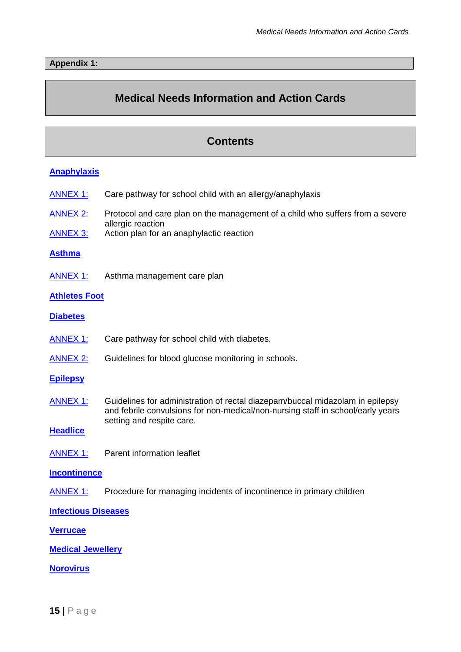# <span id="page-14-0"></span>**Medical Needs Information and Action Cards**

## **Contents**

## **[Anaphylaxis](#page-15-0)**

- [ANNEX 1:](#page-18-0) Care pathway for school child with an allergy/anaphylaxis
- [ANNEX 2:](#page-19-0) Protocol and care plan on the management of a child who suffers from a severe allergic reaction
- [ANNEX 3:](#page-23-0) Action plan for an anaphylactic reaction

#### **[Asthma](#page-25-0)**

[ANNEX 1:](#page-30-0) Asthma management care plan

## **[Athletes Foot](#page-31-0)**

- **[Diabetes](#page-32-0)**
- [ANNEX 1:](#page-37-0) Care pathway for school child with diabetes.
- [ANNEX 2:](#page-38-0) Guidelines for blood glucose monitoring in schools.

#### **[Epilepsy](#page-39-0)**

ANNEX 1: Guidelines for administration of rectal diazepam/buccal midazolam in epilepsy and febrile convulsions for non-medical/non-nursing staff in school/early years setting and respite care.

## **[Headlice](#page-43-0)**

[ANNEX 1:](#page-45-0) Parent information leaflet

## **[Incontinence](#page-50-0)**

[ANNEX 1:](#page-51-0) Procedure for managing incidents of incontinence in primary children

## **[Infectious Diseases](#page-49-0)**

## **Verrucae**

## **[Medical Jewellery](#page-53-0)**

**[Norovirus](#page-54-0)**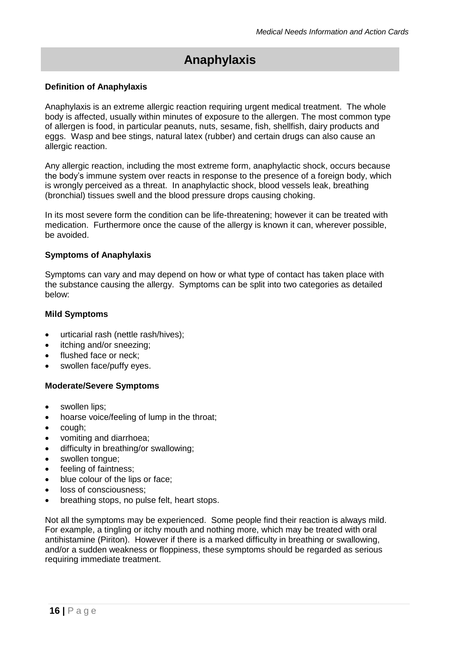# **Anaphylaxis**

## <span id="page-15-0"></span>**Definition of Anaphylaxis**

Anaphylaxis is an extreme allergic reaction requiring urgent medical treatment. The whole body is affected, usually within minutes of exposure to the allergen. The most common type of allergen is food, in particular peanuts, nuts, sesame, fish, shellfish, dairy products and eggs. Wasp and bee stings, natural latex (rubber) and certain drugs can also cause an allergic reaction.

Any allergic reaction, including the most extreme form, anaphylactic shock, occurs because the body's immune system over reacts in response to the presence of a foreign body, which is wrongly perceived as a threat. In anaphylactic shock, blood vessels leak, breathing (bronchial) tissues swell and the blood pressure drops causing choking.

In its most severe form the condition can be life-threatening; however it can be treated with medication. Furthermore once the cause of the allergy is known it can, wherever possible, be avoided.

## **Symptoms of Anaphylaxis**

Symptoms can vary and may depend on how or what type of contact has taken place with the substance causing the allergy. Symptoms can be split into two categories as detailed below:

## **Mild Symptoms**

- urticarial rash (nettle rash/hives);
- itching and/or sneezing:
- flushed face or neck;
- swollen face/puffy eyes.

## **Moderate/Severe Symptoms**

- swollen lips:
- hoarse voice/feeling of lump in the throat;
- cough;
- vomiting and diarrhoea:
- difficulty in breathing/or swallowing;
- swollen tongue;
- feeling of faintness;
- blue colour of the lips or face:
- loss of consciousness;
- breathing stops, no pulse felt, heart stops.

Not all the symptoms may be experienced. Some people find their reaction is always mild. For example, a tingling or itchy mouth and nothing more, which may be treated with oral antihistamine (Piriton). However if there is a marked difficulty in breathing or swallowing, and/or a sudden weakness or floppiness, these symptoms should be regarded as serious requiring immediate treatment.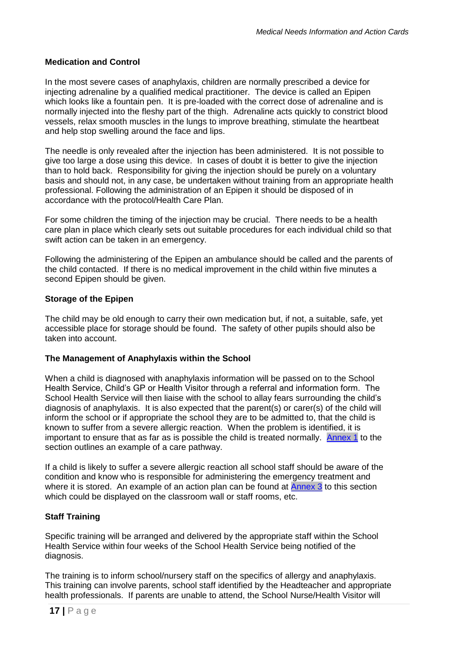## **Medication and Control**

In the most severe cases of anaphylaxis, children are normally prescribed a device for injecting adrenaline by a qualified medical practitioner. The device is called an Epipen which looks like a fountain pen. It is pre-loaded with the correct dose of adrenaline and is normally injected into the fleshy part of the thigh. Adrenaline acts quickly to constrict blood vessels, relax smooth muscles in the lungs to improve breathing, stimulate the heartbeat and help stop swelling around the face and lips.

The needle is only revealed after the injection has been administered. It is not possible to give too large a dose using this device. In cases of doubt it is better to give the injection than to hold back. Responsibility for giving the injection should be purely on a voluntary basis and should not, in any case, be undertaken without training from an appropriate health professional. Following the administration of an Epipen it should be disposed of in accordance with the protocol/Health Care Plan.

For some children the timing of the injection may be crucial. There needs to be a health care plan in place which clearly sets out suitable procedures for each individual child so that swift action can be taken in an emergency.

Following the administering of the Epipen an ambulance should be called and the parents of the child contacted. If there is no medical improvement in the child within five minutes a second Epipen should be given.

## **Storage of the Epipen**

The child may be old enough to carry their own medication but, if not, a suitable, safe, yet accessible place for storage should be found. The safety of other pupils should also be taken into account.

## **The Management of Anaphylaxis within the School**

When a child is diagnosed with anaphylaxis information will be passed on to the School Health Service, Child's GP or Health Visitor through a referral and information form. The School Health Service will then liaise with the school to allay fears surrounding the child's diagnosis of anaphylaxis. It is also expected that the parent(s) or carer(s) of the child will inform the school or if appropriate the school they are to be admitted to, that the child is known to suffer from a severe allergic reaction. When the problem is identified, it is important to ensure that as far as is possible the child is treated normally. [Annex 1](#page-18-0) to the section outlines an example of a care pathway.

If a child is likely to suffer a severe allergic reaction all school staff should be aware of the condition and know who is responsible for administering the emergency treatment and where it is stored. An example of an action plan can be found at [Annex 3](#page-23-0) to this section which could be displayed on the classroom wall or staff rooms, etc.

## **Staff Training**

Specific training will be arranged and delivered by the appropriate staff within the School Health Service within four weeks of the School Health Service being notified of the diagnosis.

The training is to inform school/nursery staff on the specifics of allergy and anaphylaxis. This training can involve parents, school staff identified by the Headteacher and appropriate health professionals. If parents are unable to attend, the School Nurse/Health Visitor will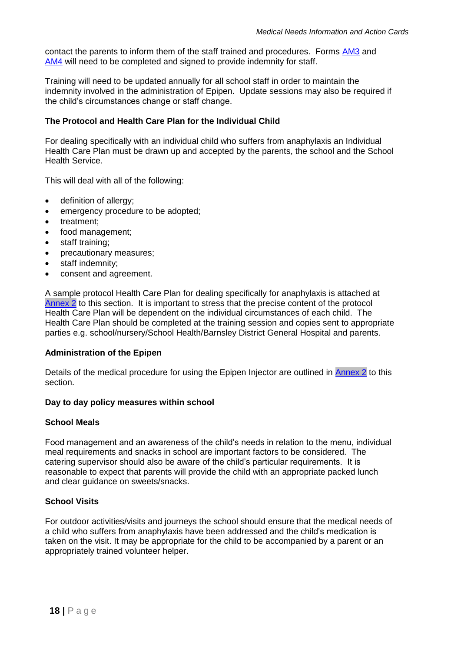contact the parents to inform them of the staff trained and procedures. Forms [AM3](#page-62-1) and [AM4](#page-65-0) will need to be completed and signed to provide indemnity for staff.

Training will need to be updated annually for all school staff in order to maintain the indemnity involved in the administration of Epipen. Update sessions may also be required if the child's circumstances change or staff change.

## **The Protocol and Health Care Plan for the Individual Child**

For dealing specifically with an individual child who suffers from anaphylaxis an Individual Health Care Plan must be drawn up and accepted by the parents, the school and the School Health Service.

This will deal with all of the following:

- definition of allergy;
- emergency procedure to be adopted;
- treatment:
- food management;
- staff training;
- precautionary measures;
- staff indemnity;
- consent and agreement.

A sample protocol Health Care Plan for dealing specifically for anaphylaxis is attached at [Annex 2](#page-19-0) to this section. It is important to stress that the precise content of the protocol Health Care Plan will be dependent on the individual circumstances of each child. The Health Care Plan should be completed at the training session and copies sent to appropriate parties e.g. school/nursery/School Health/Barnsley District General Hospital and parents.

#### **Administration of the Epipen**

Details of the medical procedure for using the Epipen Injector are outlined in [Annex 2](#page-19-0) to this section.

#### **Day to day policy measures within school**

#### **School Meals**

Food management and an awareness of the child's needs in relation to the menu, individual meal requirements and snacks in school are important factors to be considered. The catering supervisor should also be aware of the child's particular requirements. It is reasonable to expect that parents will provide the child with an appropriate packed lunch and clear guidance on sweets/snacks.

## **School Visits**

For outdoor activities/visits and journeys the school should ensure that the medical needs of a child who suffers from anaphylaxis have been addressed and the child's medication is taken on the visit. It may be appropriate for the child to be accompanied by a parent or an appropriately trained volunteer helper.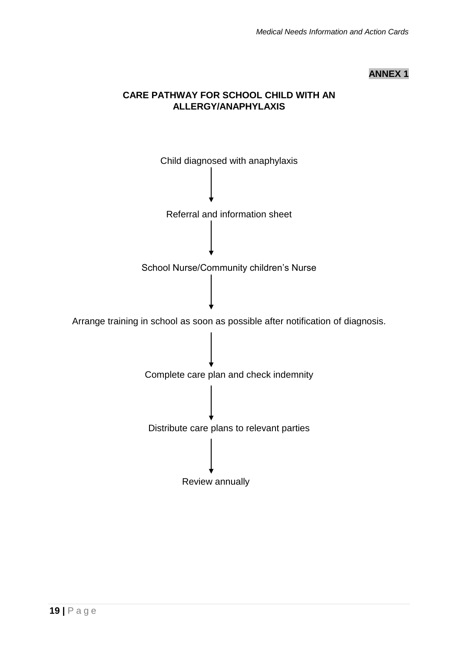## **ANNEX 1**

## **CARE PATHWAY FOR SCHOOL CHILD WITH AN ALLERGY/ANAPHYLAXIS**

<span id="page-18-0"></span>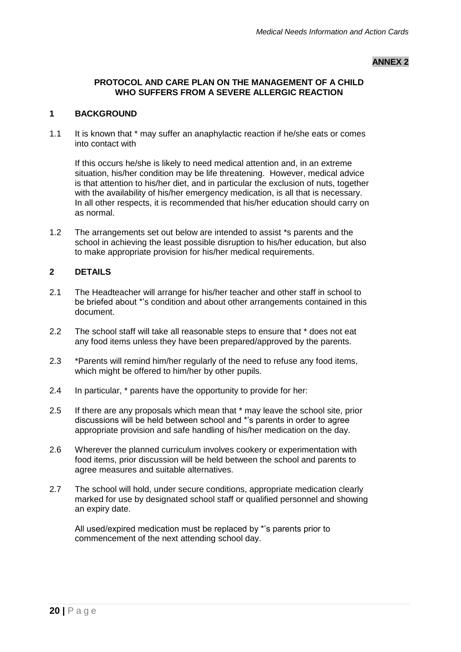#### **ANNEX 2**

## <span id="page-19-0"></span>**PROTOCOL AND CARE PLAN ON THE MANAGEMENT OF A CHILD WHO SUFFERS FROM A SEVERE ALLERGIC REACTION**

#### **1 BACKGROUND**

1.1 It is known that \* may suffer an anaphylactic reaction if he/she eats or comes into contact with

If this occurs he/she is likely to need medical attention and, in an extreme situation, his/her condition may be life threatening. However, medical advice is that attention to his/her diet, and in particular the exclusion of nuts, together with the availability of his/her emergency medication, is all that is necessary. In all other respects, it is recommended that his/her education should carry on as normal.

1.2 The arrangements set out below are intended to assist \*s parents and the school in achieving the least possible disruption to his/her education, but also to make appropriate provision for his/her medical requirements.

#### **2 DETAILS**

- 2.1 The Headteacher will arrange for his/her teacher and other staff in school to be briefed about \*'s condition and about other arrangements contained in this document.
- 2.2 The school staff will take all reasonable steps to ensure that \* does not eat any food items unless they have been prepared/approved by the parents.
- 2.3 \*Parents will remind him/her regularly of the need to refuse any food items, which might be offered to him/her by other pupils.
- 2.4 In particular, \* parents have the opportunity to provide for her:
- 2.5 If there are any proposals which mean that  $*$  may leave the school site, prior discussions will be held between school and \*'s parents in order to agree appropriate provision and safe handling of his/her medication on the day.
- 2.6 Wherever the planned curriculum involves cookery or experimentation with food items, prior discussion will be held between the school and parents to agree measures and suitable alternatives.
- 2.7 The school will hold, under secure conditions, appropriate medication clearly marked for use by designated school staff or qualified personnel and showing an expiry date.

All used/expired medication must be replaced by \*'s parents prior to commencement of the next attending school day.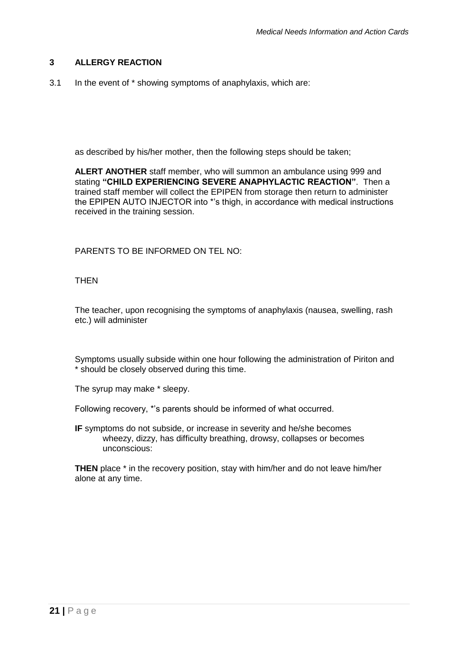## **3 ALLERGY REACTION**

3.1 In the event of \* showing symptoms of anaphylaxis, which are:

as described by his/her mother, then the following steps should be taken;

**ALERT ANOTHER** staff member, who will summon an ambulance using 999 and stating **"CHILD EXPERIENCING SEVERE ANAPHYLACTIC REACTION"**. Then a trained staff member will collect the EPIPEN from storage then return to administer the EPIPEN AUTO INJECTOR into \*'s thigh, in accordance with medical instructions received in the training session.

PARENTS TO BE INFORMED ON TEL NO:

## **THEN**

The teacher, upon recognising the symptoms of anaphylaxis (nausea, swelling, rash etc.) will administer

Symptoms usually subside within one hour following the administration of Piriton and \* should be closely observed during this time.

The syrup may make \* sleepy.

Following recovery, \*'s parents should be informed of what occurred.

**IF** symptoms do not subside, or increase in severity and he/she becomes wheezy, dizzy, has difficulty breathing, drowsy, collapses or becomes unconscious:

**THEN** place \* in the recovery position, stay with him/her and do not leave him/her alone at any time.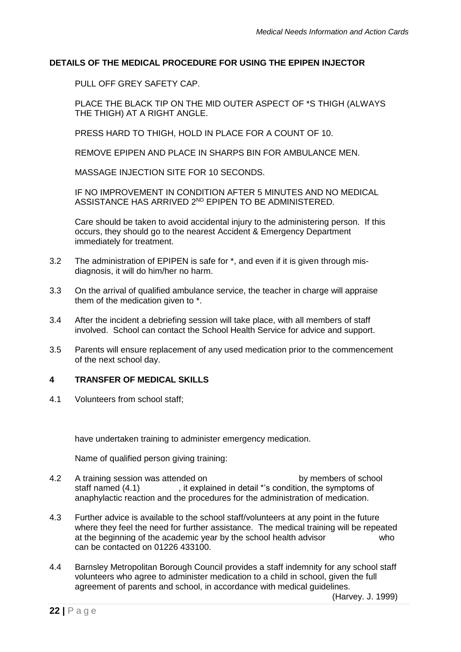## **DETAILS OF THE MEDICAL PROCEDURE FOR USING THE EPIPEN INJECTOR**

PULL OFF GREY SAFETY CAP.

PLACE THE BLACK TIP ON THE MID OUTER ASPECT OF \*S THIGH (ALWAYS THE THIGH) AT A RIGHT ANGLE.

PRESS HARD TO THIGH, HOLD IN PLACE FOR A COUNT OF 10.

REMOVE EPIPEN AND PLACE IN SHARPS BIN FOR AMBULANCE MEN.

MASSAGE INJECTION SITE FOR 10 SECONDS.

IF NO IMPROVEMENT IN CONDITION AFTER 5 MINUTES AND NO MEDICAL ASSISTANCE HAS ARRIVED 2<sup>ND</sup> EPIPEN TO BE ADMINISTERED.

Care should be taken to avoid accidental injury to the administering person. If this occurs, they should go to the nearest Accident & Emergency Department immediately for treatment.

- 3.2 The administration of EPIPEN is safe for \*, and even if it is given through misdiagnosis, it will do him/her no harm.
- 3.3 On the arrival of qualified ambulance service, the teacher in charge will appraise them of the medication given to \*.
- 3.4 After the incident a debriefing session will take place, with all members of staff involved. School can contact the School Health Service for advice and support.
- 3.5 Parents will ensure replacement of any used medication prior to the commencement of the next school day.

## **4 TRANSFER OF MEDICAL SKILLS**

4.1 Volunteers from school staff;

have undertaken training to administer emergency medication.

Name of qualified person giving training:

- 4.2 A training session was attended on by members of school staff named (4.1) , it explained in detail \*'s condition, the symptoms of anaphylactic reaction and the procedures for the administration of medication.
- 4.3 Further advice is available to the school staff/volunteers at any point in the future where they feel the need for further assistance. The medical training will be repeated at the beginning of the academic year by the school health advisor who can be contacted on 01226 433100.
- 4.4 Barnsley Metropolitan Borough Council provides a staff indemnity for any school staff volunteers who agree to administer medication to a child in school, given the full agreement of parents and school, in accordance with medical guidelines.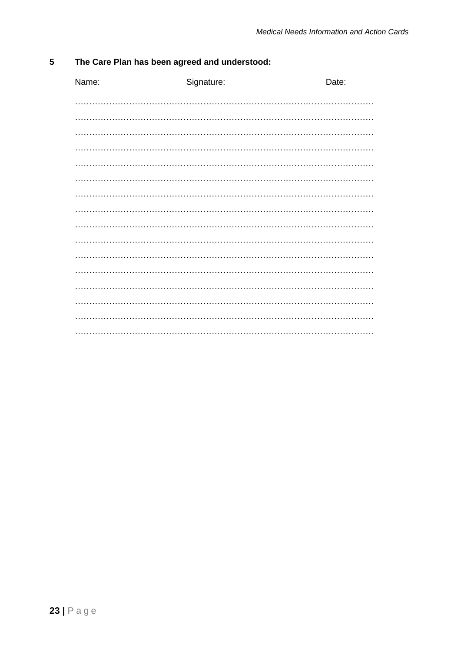| The Care Plan has been agreed and understood:<br>5 |  |
|----------------------------------------------------|--|
|----------------------------------------------------|--|

| Name: | Signature: | Date: |
|-------|------------|-------|
|       |            |       |
|       |            |       |
|       |            |       |
|       |            |       |
|       |            |       |
|       |            |       |
|       |            |       |
|       |            |       |
|       |            |       |
|       |            |       |
|       |            |       |
|       |            |       |
|       |            |       |
|       |            |       |
|       |            |       |
|       |            |       |
|       |            |       |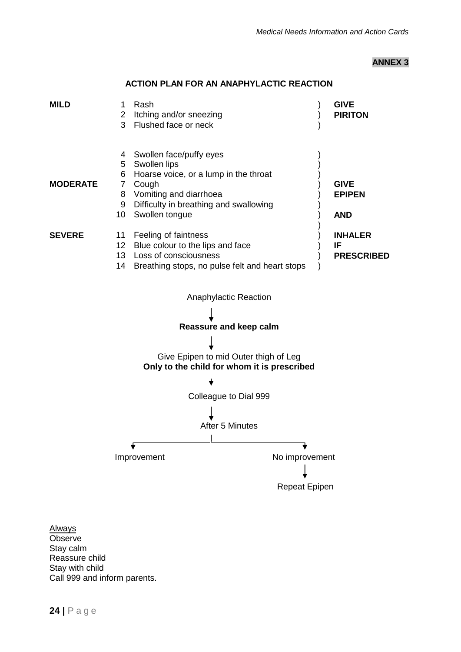## **ANNEX 3**

<span id="page-23-0"></span>

## **ACTION PLAN FOR AN ANAPHYLACTIC REACTION**

**Always Observe** Stay calm Reassure child Stay with child Call 999 and inform parents.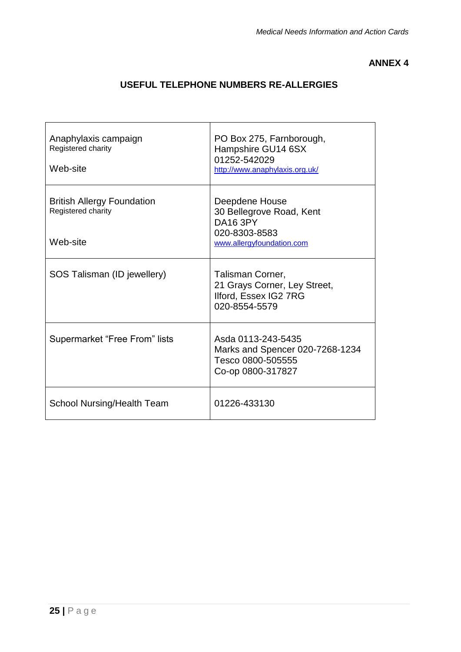## **ANNEX 4**

## **USEFUL TELEPHONE NUMBERS RE-ALLERGIES**

| Anaphylaxis campaign<br>Registered charity<br>Web-site              | PO Box 275, Farnborough,<br>Hampshire GU14 6SX<br>01252-542029<br>http://www.anaphylaxis.org.uk/            |
|---------------------------------------------------------------------|-------------------------------------------------------------------------------------------------------------|
| <b>British Allergy Foundation</b><br>Registered charity<br>Web-site | Deepdene House<br>30 Bellegrove Road, Kent<br><b>DA16 3PY</b><br>020-8303-8583<br>www.allergyfoundation.com |
| SOS Talisman (ID jewellery)                                         | Talisman Corner,<br>21 Grays Corner, Ley Street,<br>Ilford, Essex IG2 7RG<br>020-8554-5579                  |
| Supermarket "Free From" lists                                       | Asda 0113-243-5435<br>Marks and Spencer 020-7268-1234<br>Tesco 0800-505555<br>Co-op 0800-317827             |
| <b>School Nursing/Health Team</b>                                   | 01226-433130                                                                                                |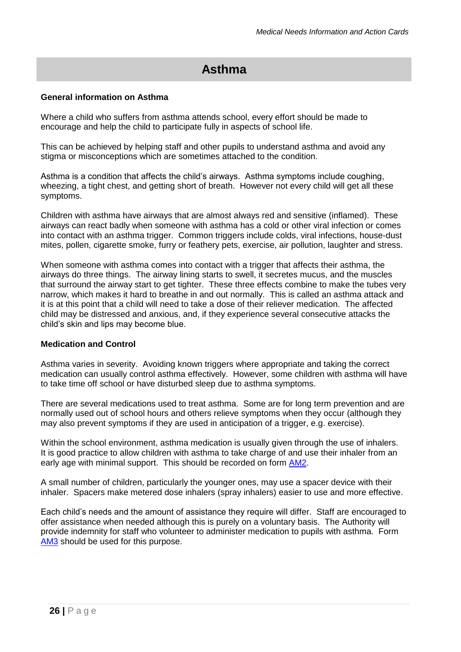# **Asthma**

## <span id="page-25-0"></span>**General information on Asthma**

Where a child who suffers from asthma attends school, every effort should be made to encourage and help the child to participate fully in aspects of school life.

This can be achieved by helping staff and other pupils to understand asthma and avoid any stigma or misconceptions which are sometimes attached to the condition.

Asthma is a condition that affects the child's airways. Asthma symptoms include coughing, wheezing, a tight chest, and getting short of breath. However not every child will get all these symptoms.

Children with asthma have airways that are almost always red and sensitive (inflamed). These airways can react badly when someone with asthma has a cold or other viral infection or comes into contact with an asthma trigger. Common triggers include colds, viral infections, house-dust mites, pollen, cigarette smoke, furry or feathery pets, exercise, air pollution, laughter and stress.

When someone with asthma comes into contact with a trigger that affects their asthma, the airways do three things. The airway lining starts to swell, it secretes mucus, and the muscles that surround the airway start to get tighter. These three effects combine to make the tubes very narrow, which makes it hard to breathe in and out normally. This is called an asthma attack and it is at this point that a child will need to take a dose of their reliever medication. The affected child may be distressed and anxious, and, if they experience several consecutive attacks the child's skin and lips may become blue.

## **Medication and Control**

Asthma varies in severity. Avoiding known triggers where appropriate and taking the correct medication can usually control asthma effectively. However, some children with asthma will have to take time off school or have disturbed sleep due to asthma symptoms.

There are several medications used to treat asthma. Some are for long term prevention and are normally used out of school hours and others relieve symptoms when they occur (although they may also prevent symptoms if they are used in anticipation of a trigger, e.g. exercise).

Within the school environment, asthma medication is usually given through the use of inhalers. It is good practice to allow children with asthma to take charge of and use their inhaler from an early age with minimal support. This should be recorded on form [AM2.](#page-60-1)

A small number of children, particularly the younger ones, may use a spacer device with their inhaler. Spacers make metered dose inhalers (spray inhalers) easier to use and more effective.

Each child's needs and the amount of assistance they require will differ. Staff are encouraged to offer assistance when needed although this is purely on a voluntary basis. The Authority will provide indemnity for staff who volunteer to administer medication to pupils with asthma. Form [AM3](#page-62-1) should be used for this purpose.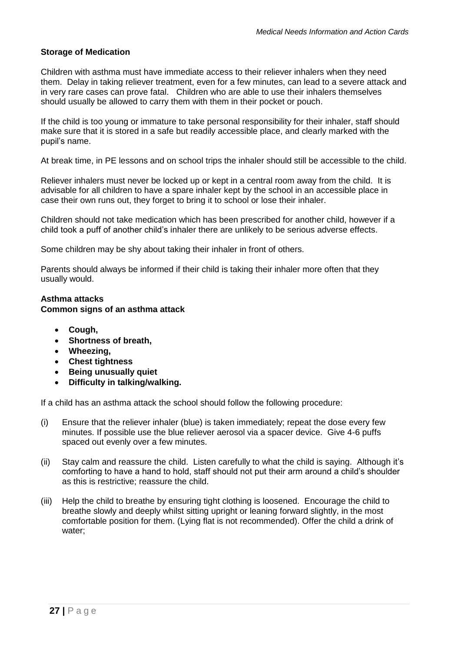## **Storage of Medication**

Children with asthma must have immediate access to their reliever inhalers when they need them. Delay in taking reliever treatment, even for a few minutes, can lead to a severe attack and in very rare cases can prove fatal. Children who are able to use their inhalers themselves should usually be allowed to carry them with them in their pocket or pouch.

If the child is too young or immature to take personal responsibility for their inhaler, staff should make sure that it is stored in a safe but readily accessible place, and clearly marked with the pupil's name.

At break time, in PE lessons and on school trips the inhaler should still be accessible to the child.

Reliever inhalers must never be locked up or kept in a central room away from the child. It is advisable for all children to have a spare inhaler kept by the school in an accessible place in case their own runs out, they forget to bring it to school or lose their inhaler.

Children should not take medication which has been prescribed for another child, however if a child took a puff of another child's inhaler there are unlikely to be serious adverse effects.

Some children may be shy about taking their inhaler in front of others.

Parents should always be informed if their child is taking their inhaler more often that they usually would.

## **Asthma attacks**

## **Common signs of an asthma attack**

- **Cough,**
- **Shortness of breath,**
- **Wheezing,**
- **Chest tightness**
- **Being unusually quiet**
- **Difficulty in talking/walking.**

If a child has an asthma attack the school should follow the following procedure:

- (i) Ensure that the reliever inhaler (blue) is taken immediately; repeat the dose every few minutes. If possible use the blue reliever aerosol via a spacer device. Give 4-6 puffs spaced out evenly over a few minutes.
- (ii) Stay calm and reassure the child. Listen carefully to what the child is saying. Although it's comforting to have a hand to hold, staff should not put their arm around a child's shoulder as this is restrictive; reassure the child.
- (iii) Help the child to breathe by ensuring tight clothing is loosened. Encourage the child to breathe slowly and deeply whilst sitting upright or leaning forward slightly, in the most comfortable position for them. (Lying flat is not recommended). Offer the child a drink of water: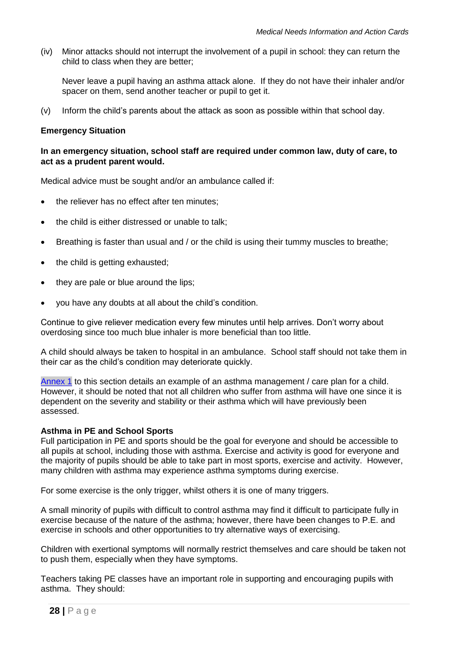(iv) Minor attacks should not interrupt the involvement of a pupil in school: they can return the child to class when they are better;

Never leave a pupil having an asthma attack alone. If they do not have their inhaler and/or spacer on them, send another teacher or pupil to get it.

(v) Inform the child's parents about the attack as soon as possible within that school day.

#### **Emergency Situation**

#### **In an emergency situation, school staff are required under common law, duty of care, to act as a prudent parent would.**

Medical advice must be sought and/or an ambulance called if:

- the reliever has no effect after ten minutes;
- the child is either distressed or unable to talk;
- Breathing is faster than usual and / or the child is using their tummy muscles to breathe;
- the child is getting exhausted;
- they are pale or blue around the lips;
- you have any doubts at all about the child's condition.

Continue to give reliever medication every few minutes until help arrives. Don't worry about overdosing since too much blue inhaler is more beneficial than too little.

A child should always be taken to hospital in an ambulance. School staff should not take them in their car as the child's condition may deteriorate quickly.

[Annex 1](#page-30-0) to this section details an example of an asthma management / care plan for a child. However, it should be noted that not all children who suffer from asthma will have one since it is dependent on the severity and stability or their asthma which will have previously been assessed.

#### **Asthma in PE and School Sports**

Full participation in PE and sports should be the goal for everyone and should be accessible to all pupils at school, including those with asthma. Exercise and activity is good for everyone and the majority of pupils should be able to take part in most sports, exercise and activity. However, many children with asthma may experience asthma symptoms during exercise.

For some exercise is the only trigger, whilst others it is one of many triggers.

A small minority of pupils with difficult to control asthma may find it difficult to participate fully in exercise because of the nature of the asthma; however, there have been changes to P.E. and exercise in schools and other opportunities to try alternative ways of exercising.

Children with exertional symptoms will normally restrict themselves and care should be taken not to push them, especially when they have symptoms.

Teachers taking PE classes have an important role in supporting and encouraging pupils with asthma. They should: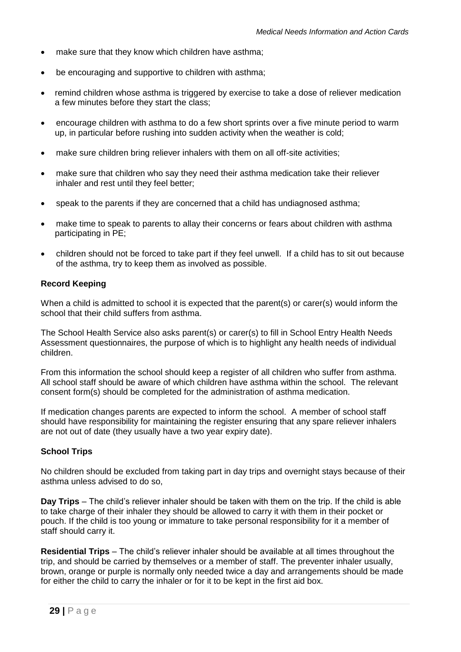- make sure that they know which children have asthma;
- be encouraging and supportive to children with asthma;
- remind children whose asthma is triggered by exercise to take a dose of reliever medication a few minutes before they start the class;
- encourage children with asthma to do a few short sprints over a five minute period to warm up, in particular before rushing into sudden activity when the weather is cold;
- make sure children bring reliever inhalers with them on all off-site activities;
- make sure that children who say they need their asthma medication take their reliever inhaler and rest until they feel better;
- speak to the parents if they are concerned that a child has undiagnosed asthma;
- make time to speak to parents to allay their concerns or fears about children with asthma participating in PE;
- children should not be forced to take part if they feel unwell. If a child has to sit out because of the asthma, try to keep them as involved as possible.

## **Record Keeping**

When a child is admitted to school it is expected that the parent(s) or carer(s) would inform the school that their child suffers from asthma.

The School Health Service also asks parent(s) or carer(s) to fill in School Entry Health Needs Assessment questionnaires, the purpose of which is to highlight any health needs of individual children.

From this information the school should keep a register of all children who suffer from asthma. All school staff should be aware of which children have asthma within the school. The relevant consent form(s) should be completed for the administration of asthma medication.

If medication changes parents are expected to inform the school. A member of school staff should have responsibility for maintaining the register ensuring that any spare reliever inhalers are not out of date (they usually have a two year expiry date).

## **School Trips**

No children should be excluded from taking part in day trips and overnight stays because of their asthma unless advised to do so,

**Day Trips** – The child's reliever inhaler should be taken with them on the trip. If the child is able to take charge of their inhaler they should be allowed to carry it with them in their pocket or pouch. If the child is too young or immature to take personal responsibility for it a member of staff should carry it.

**Residential Trips** – The child's reliever inhaler should be available at all times throughout the trip, and should be carried by themselves or a member of staff. The preventer inhaler usually, brown, orange or purple is normally only needed twice a day and arrangements should be made for either the child to carry the inhaler or for it to be kept in the first aid box.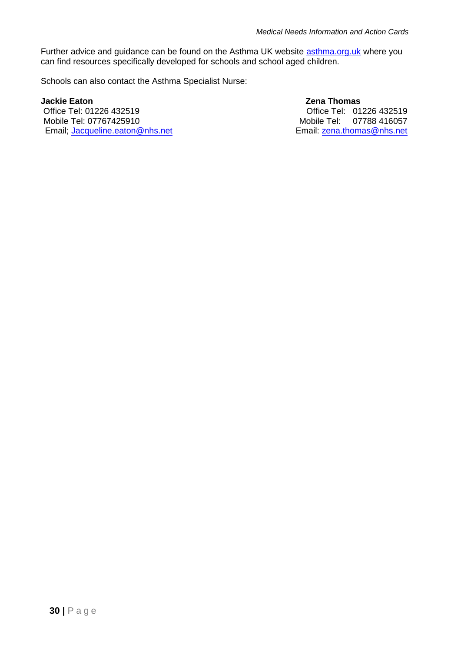Further advice and guidance can be found on the Asthma UK website [asthma.org.uk](http://asthma.org.uk/) where you can find resources specifically developed for schools and school aged children.

Schools can also contact the Asthma Specialist Nurse:

**Jackie Eaton 28 Contracts 20 Contracts 20 Contracts 20 Contracts 20 Contracts 20 Contracts 20 Contracts 20 Contracts 20 Contracts 20 Contracts 20 Contracts 20 Contracts 20 Contracts 20 Contracts 20 Contracts 20 Contracts** Mobile Tel: 07767425910 Mobile Tel: 07788 416057 Email; [Jacqueline.eaton@nhs.net](mailto:Jacqueline.eaton@nhs.net) Email: [zena.thomas@nhs.net](mailto:zena.thomas@nhs.net)

Office Tel: 01226 432519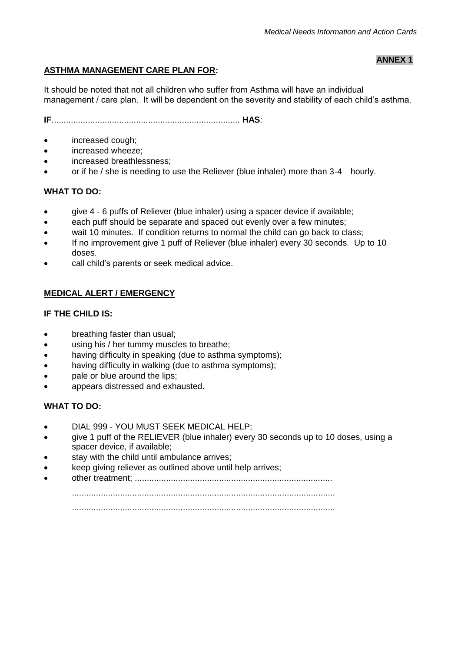**ANNEX 1**

## <span id="page-30-0"></span>**ASTHMA MANAGEMENT CARE PLAN FOR:**

It should be noted that not all children who suffer from Asthma will have an individual management / care plan. It will be dependent on the severity and stability of each child's asthma.

**IF**.............................................................................. **HAS**:

- increased cough:
- increased wheeze;
- increased breathlessness;
- or if he / she is needing to use the Reliever (blue inhaler) more than 3-4 hourly.

#### **WHAT TO DO:**

- give 4 6 puffs of Reliever (blue inhaler) using a spacer device if available;
- each puff should be separate and spaced out evenly over a few minutes;
- wait 10 minutes. If condition returns to normal the child can go back to class;
- If no improvement give 1 puff of Reliever (blue inhaler) every 30 seconds. Up to 10 doses.
- call child's parents or seek medical advice.

## **MEDICAL ALERT / EMERGENCY**

## **IF THE CHILD IS:**

- breathing faster than usual;
- using his / her tummy muscles to breathe;
- having difficulty in speaking (due to asthma symptoms);
- having difficulty in walking (due to asthma symptoms);
- pale or blue around the lips;
- appears distressed and exhausted.

## **WHAT TO DO:**

- DIAL 999 YOU MUST SEEK MEDICAL HELP;
- give 1 puff of the RELIEVER (blue inhaler) every 30 seconds up to 10 doses, using a spacer device, if available;
- stay with the child until ambulance arrives;
- keep giving reliever as outlined above until help arrives;
- other treatment; ..................................................................................

.............................................................................................................

.............................................................................................................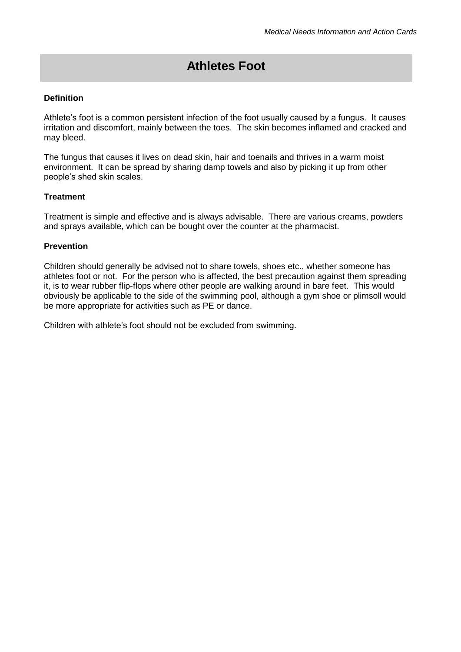# **Athletes Foot**

## <span id="page-31-0"></span>**Definition**

Athlete's foot is a common persistent infection of the foot usually caused by a fungus. It causes irritation and discomfort, mainly between the toes. The skin becomes inflamed and cracked and may bleed.

The fungus that causes it lives on dead skin, hair and toenails and thrives in a warm moist environment. It can be spread by sharing damp towels and also by picking it up from other people's shed skin scales.

#### **Treatment**

Treatment is simple and effective and is always advisable. There are various creams, powders and sprays available, which can be bought over the counter at the pharmacist.

#### **Prevention**

Children should generally be advised not to share towels, shoes etc., whether someone has athletes foot or not. For the person who is affected, the best precaution against them spreading it, is to wear rubber flip-flops where other people are walking around in bare feet. This would obviously be applicable to the side of the swimming pool, although a gym shoe or plimsoll would be more appropriate for activities such as PE or dance.

Children with athlete's foot should not be excluded from swimming.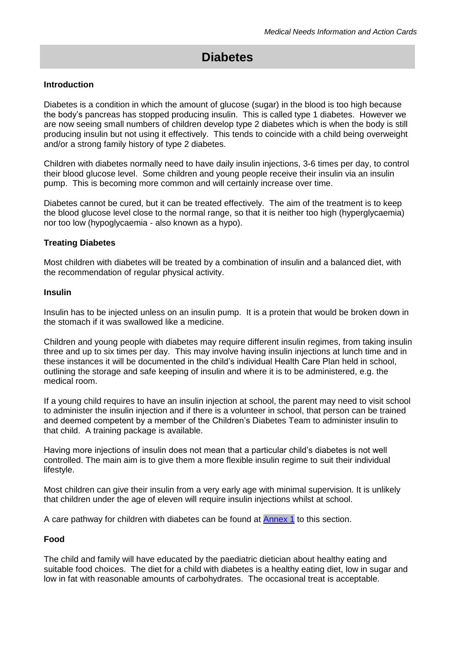# **Diabetes**

#### <span id="page-32-0"></span>**Introduction**

Diabetes is a condition in which the amount of glucose (sugar) in the blood is too high because the body's pancreas has stopped producing insulin. This is called type 1 diabetes. However we are now seeing small numbers of children develop type 2 diabetes which is when the body is still producing insulin but not using it effectively. This tends to coincide with a child being overweight and/or a strong family history of type 2 diabetes.

Children with diabetes normally need to have daily insulin injections, 3-6 times per day, to control their blood glucose level. Some children and young people receive their insulin via an insulin pump. This is becoming more common and will certainly increase over time.

Diabetes cannot be cured, but it can be treated effectively. The aim of the treatment is to keep the blood glucose level close to the normal range, so that it is neither too high (hyperglycaemia) nor too low (hypoglycaemia - also known as a hypo).

#### **Treating Diabetes**

Most children with diabetes will be treated by a combination of insulin and a balanced diet, with the recommendation of regular physical activity.

#### **Insulin**

Insulin has to be injected unless on an insulin pump. It is a protein that would be broken down in the stomach if it was swallowed like a medicine.

Children and young people with diabetes may require different insulin regimes, from taking insulin three and up to six times per day. This may involve having insulin injections at lunch time and in these instances it will be documented in the child's individual Health Care Plan held in school, outlining the storage and safe keeping of insulin and where it is to be administered, e.g. the medical room.

If a young child requires to have an insulin injection at school, the parent may need to visit school to administer the insulin injection and if there is a volunteer in school, that person can be trained and deemed competent by a member of the Children's Diabetes Team to administer insulin to that child. A training package is available.

Having more injections of insulin does not mean that a particular child's diabetes is not well controlled. The main aim is to give them a more flexible insulin regime to suit their individual lifestyle.

Most children can give their insulin from a very early age with minimal supervision. It is unlikely that children under the age of eleven will require insulin injections whilst at school.

A care pathway for children with diabetes can be found at [Annex 1](#page-37-0) to this section.

## **Food**

The child and family will have educated by the paediatric dietician about healthy eating and suitable food choices. The diet for a child with diabetes is a healthy eating diet, low in sugar and low in fat with reasonable amounts of carbohydrates. The occasional treat is acceptable.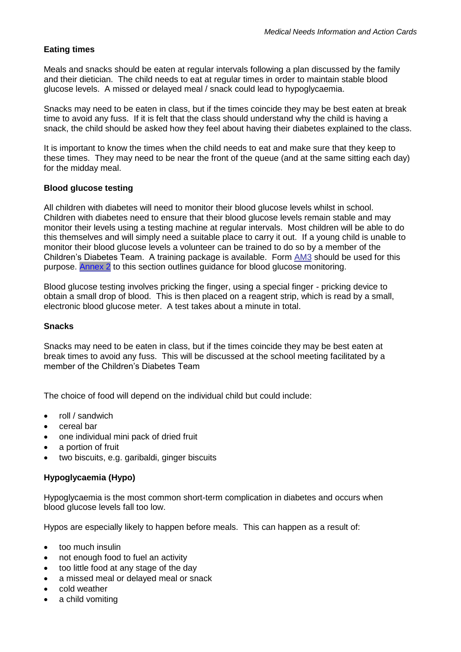## **Eating times**

Meals and snacks should be eaten at regular intervals following a plan discussed by the family and their dietician. The child needs to eat at regular times in order to maintain stable blood glucose levels. A missed or delayed meal / snack could lead to hypoglycaemia.

Snacks may need to be eaten in class, but if the times coincide they may be best eaten at break time to avoid any fuss. If it is felt that the class should understand why the child is having a snack, the child should be asked how they feel about having their diabetes explained to the class.

It is important to know the times when the child needs to eat and make sure that they keep to these times. They may need to be near the front of the queue (and at the same sitting each day) for the midday meal.

## **Blood glucose testing**

All children with diabetes will need to monitor their blood glucose levels whilst in school. Children with diabetes need to ensure that their blood glucose levels remain stable and may monitor their levels using a testing machine at regular intervals. Most children will be able to do this themselves and will simply need a suitable place to carry it out. If a young child is unable to monitor their blood glucose levels a volunteer can be trained to do so by a member of the Children's Diabetes Team. A training package is available. Form AM3 should be used for this purpose. [Annex 2](#page-38-0) to this section outlines guidance for blood glucose monitoring.

Blood glucose testing involves pricking the finger, using a special finger - pricking device to obtain a small drop of blood. This is then placed on a reagent strip, which is read by a small, electronic blood glucose meter. A test takes about a minute in total.

## **Snacks**

Snacks may need to be eaten in class, but if the times coincide they may be best eaten at break times to avoid any fuss. This will be discussed at the school meeting facilitated by a member of the Children's Diabetes Team

The choice of food will depend on the individual child but could include:

- roll / sandwich
- cereal bar
- one individual mini pack of dried fruit
- a portion of fruit
- two biscuits, e.g. garibaldi, ginger biscuits

## **Hypoglycaemia (Hypo)**

Hypoglycaemia is the most common short-term complication in diabetes and occurs when blood glucose levels fall too low.

Hypos are especially likely to happen before meals. This can happen as a result of:

- too much insulin
- not enough food to fuel an activity
- too little food at any stage of the day
- a missed meal or delayed meal or snack
- cold weather
- a child vomiting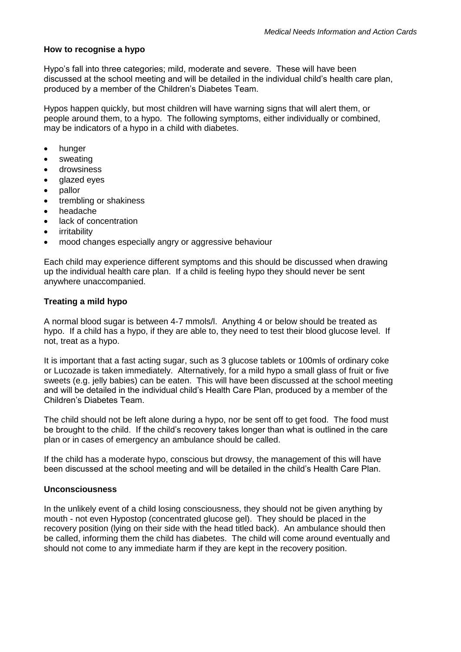## **How to recognise a hypo**

Hypo's fall into three categories; mild, moderate and severe. These will have been discussed at the school meeting and will be detailed in the individual child's health care plan, produced by a member of the Children's Diabetes Team.

Hypos happen quickly, but most children will have warning signs that will alert them, or people around them, to a hypo. The following symptoms, either individually or combined, may be indicators of a hypo in a child with diabetes.

- hunger
- sweating
- drowsiness
- glazed eyes
- pallor
- trembling or shakiness
- headache
- lack of concentration
- irritability
- mood changes especially angry or aggressive behaviour

Each child may experience different symptoms and this should be discussed when drawing up the individual health care plan. If a child is feeling hypo they should never be sent anywhere unaccompanied.

## **Treating a mild hypo**

A normal blood sugar is between 4-7 mmols/l. Anything 4 or below should be treated as hypo. If a child has a hypo, if they are able to, they need to test their blood glucose level. If not, treat as a hypo.

It is important that a fast acting sugar, such as 3 glucose tablets or 100mls of ordinary coke or Lucozade is taken immediately. Alternatively, for a mild hypo a small glass of fruit or five sweets (e.g. jelly babies) can be eaten. This will have been discussed at the school meeting and will be detailed in the individual child's Health Care Plan, produced by a member of the Children's Diabetes Team.

The child should not be left alone during a hypo, nor be sent off to get food. The food must be brought to the child. If the child's recovery takes longer than what is outlined in the care plan or in cases of emergency an ambulance should be called.

If the child has a moderate hypo, conscious but drowsy, the management of this will have been discussed at the school meeting and will be detailed in the child's Health Care Plan.

## **Unconsciousness**

In the unlikely event of a child losing consciousness, they should not be given anything by mouth - not even Hypostop (concentrated glucose gel). They should be placed in the recovery position (lying on their side with the head titled back). An ambulance should then be called, informing them the child has diabetes. The child will come around eventually and should not come to any immediate harm if they are kept in the recovery position.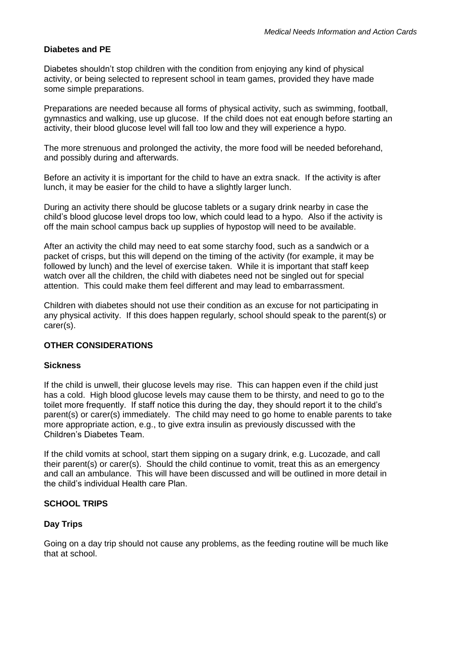## **Diabetes and PE**

Diabetes shouldn't stop children with the condition from enjoying any kind of physical activity, or being selected to represent school in team games, provided they have made some simple preparations.

Preparations are needed because all forms of physical activity, such as swimming, football, gymnastics and walking, use up glucose. If the child does not eat enough before starting an activity, their blood glucose level will fall too low and they will experience a hypo.

The more strenuous and prolonged the activity, the more food will be needed beforehand, and possibly during and afterwards.

Before an activity it is important for the child to have an extra snack. If the activity is after lunch, it may be easier for the child to have a slightly larger lunch.

During an activity there should be glucose tablets or a sugary drink nearby in case the child's blood glucose level drops too low, which could lead to a hypo. Also if the activity is off the main school campus back up supplies of hypostop will need to be available.

After an activity the child may need to eat some starchy food, such as a sandwich or a packet of crisps, but this will depend on the timing of the activity (for example, it may be followed by lunch) and the level of exercise taken. While it is important that staff keep watch over all the children, the child with diabetes need not be singled out for special attention. This could make them feel different and may lead to embarrassment.

Children with diabetes should not use their condition as an excuse for not participating in any physical activity. If this does happen regularly, school should speak to the parent(s) or carer(s).

## **OTHER CONSIDERATIONS**

## **Sickness**

If the child is unwell, their glucose levels may rise. This can happen even if the child just has a cold. High blood glucose levels may cause them to be thirsty, and need to go to the toilet more frequently. If staff notice this during the day, they should report it to the child's parent(s) or carer(s) immediately. The child may need to go home to enable parents to take more appropriate action, e.g., to give extra insulin as previously discussed with the Children's Diabetes Team.

If the child vomits at school, start them sipping on a sugary drink, e.g. Lucozade, and call their parent(s) or carer(s). Should the child continue to vomit, treat this as an emergency and call an ambulance. This will have been discussed and will be outlined in more detail in the child's individual Health care Plan.

## **SCHOOL TRIPS**

## **Day Trips**

Going on a day trip should not cause any problems, as the feeding routine will be much like that at school.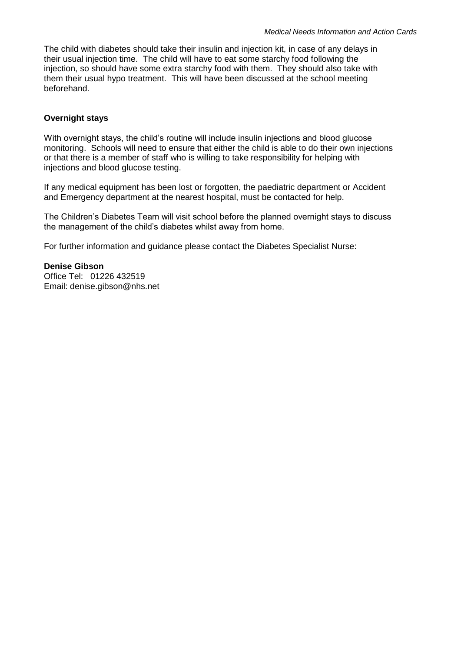The child with diabetes should take their insulin and injection kit, in case of any delays in their usual injection time. The child will have to eat some starchy food following the injection, so should have some extra starchy food with them. They should also take with them their usual hypo treatment. This will have been discussed at the school meeting beforehand.

#### **Overnight stays**

With overnight stays, the child's routine will include insulin injections and blood glucose monitoring. Schools will need to ensure that either the child is able to do their own injections or that there is a member of staff who is willing to take responsibility for helping with injections and blood glucose testing.

If any medical equipment has been lost or forgotten, the paediatric department or Accident and Emergency department at the nearest hospital, must be contacted for help.

The Children's Diabetes Team will visit school before the planned overnight stays to discuss the management of the child's diabetes whilst away from home.

For further information and guidance please contact the Diabetes Specialist Nurse:

**Denise Gibson** Office Tel: 01226 432519 Email: denise.gibson@nhs.net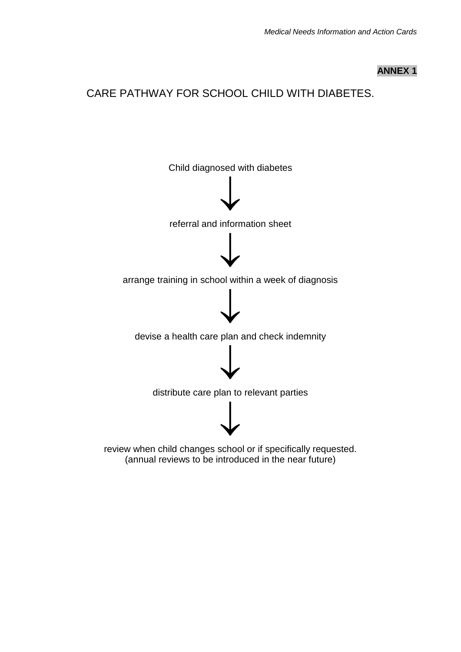## **ANNEX 1**

## <span id="page-37-0"></span>CARE PATHWAY FOR SCHOOL CHILD WITH DIABETES.



(annual reviews to be introduced in the near future)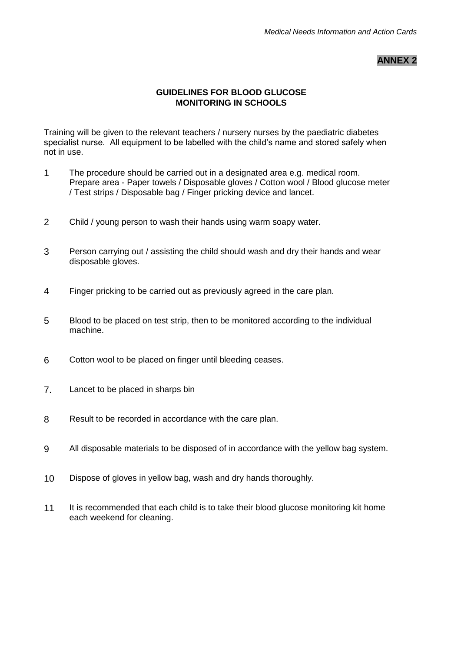**ANNEX 2**

## **GUIDELINES FOR BLOOD GLUCOSE MONITORING IN SCHOOLS**

<span id="page-38-0"></span>Training will be given to the relevant teachers / nursery nurses by the paediatric diabetes specialist nurse. All equipment to be labelled with the child's name and stored safely when not in use.

- 1 The procedure should be carried out in a designated area e.g. medical room. Prepare area - Paper towels / Disposable gloves / Cotton wool / Blood glucose meter / Test strips / Disposable bag / Finger pricking device and lancet.
- 2 Child / young person to wash their hands using warm soapy water.
- 3 Person carrying out / assisting the child should wash and dry their hands and wear disposable gloves.
- 4 Finger pricking to be carried out as previously agreed in the care plan.
- 5 Blood to be placed on test strip, then to be monitored according to the individual machine.
- 6 Cotton wool to be placed on finger until bleeding ceases.
- 7. Lancet to be placed in sharps bin
- 8 Result to be recorded in accordance with the care plan.
- 9 All disposable materials to be disposed of in accordance with the yellow bag system.
- 10 Dispose of gloves in yellow bag, wash and dry hands thoroughly.
- 11 It is recommended that each child is to take their blood glucose monitoring kit home each weekend for cleaning.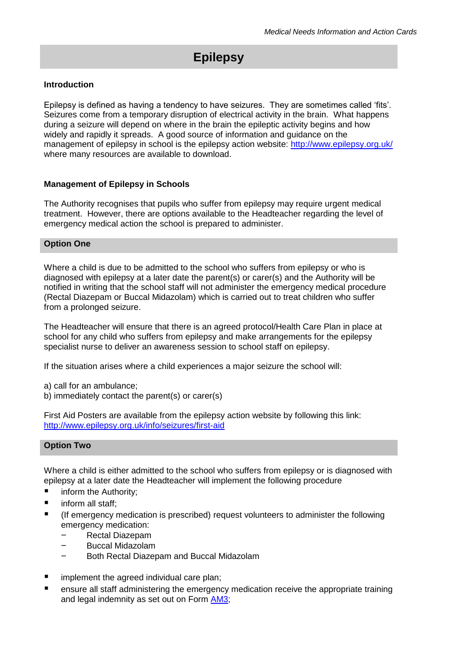# **Epilepsy**

#### <span id="page-39-0"></span>**Introduction**

Epilepsy is defined as having a tendency to have seizures. They are sometimes called 'fits'. Seizures come from a temporary disruption of electrical activity in the brain. What happens during a seizure will depend on where in the brain the epileptic activity begins and how widely and rapidly it spreads. A good source of information and guidance on the management of epilepsy in school is the epilepsy action website:<http://www.epilepsy.org.uk/> where many resources are available to download.

#### **Management of Epilepsy in Schools**

The Authority recognises that pupils who suffer from epilepsy may require urgent medical treatment. However, there are options available to the Headteacher regarding the level of emergency medical action the school is prepared to administer.

#### **Option One**

Where a child is due to be admitted to the school who suffers from epilepsy or who is diagnosed with epilepsy at a later date the parent(s) or carer(s) and the Authority will be notified in writing that the school staff will not administer the emergency medical procedure (Rectal Diazepam or Buccal Midazolam) which is carried out to treat children who suffer from a prolonged seizure.

The Headteacher will ensure that there is an agreed protocol/Health Care Plan in place at school for any child who suffers from epilepsy and make arrangements for the epilepsy specialist nurse to deliver an awareness session to school staff on epilepsy.

If the situation arises where a child experiences a major seizure the school will:

- a) call for an ambulance;
- b) immediately contact the parent(s) or carer(s)

First Aid Posters are available from the epilepsy action website by following this link: <http://www.epilepsy.org.uk/info/seizures/first-aid>

## **Option Two**

Where a child is either admitted to the school who suffers from epilepsy or is diagnosed with epilepsy at a later date the Headteacher will implement the following procedure

- **n** inform the Authority:
- $\blacksquare$  inform all staff:
- (If emergency medication is prescribed) request volunteers to administer the following emergency medication:
	- Rectal Diazepam
	- Buccal Midazolam
	- Both Rectal Diazepam and Buccal Midazolam
- implement the agreed individual care plan;
- ensure all staff administering the emergency medication receive the appropriate training and legal indemnity as set out on Form [AM3;](#page-62-1)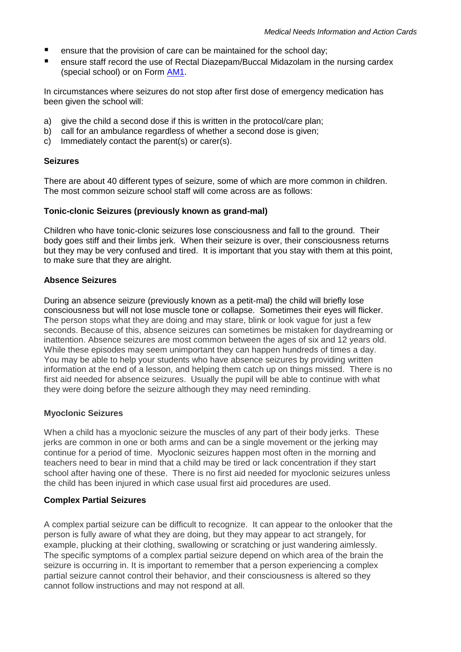- **E** ensure that the provision of care can be maintained for the school day:
- ensure staff record the use of Rectal Diazepam/Buccal Midazolam in the nursing cardex (special school) or on Form [AM1.](#page-58-0)

In circumstances where seizures do not stop after first dose of emergency medication has been given the school will:

- a) give the child a second dose if this is written in the protocol/care plan;
- b) call for an ambulance regardless of whether a second dose is given;
- c) Immediately contact the parent(s) or carer(s).

#### **Seizures**

There are about 40 different types of seizure, some of which are more common in children. The most common seizure school staff will come across are as follows:

#### **Tonic-clonic Seizures (previously known as grand-mal)**

Children who have tonic-clonic seizures lose consciousness and fall to the ground. Their body goes stiff and their limbs jerk. When their seizure is over, their consciousness returns but they may be very confused and tired. It is important that you stay with them at this point, to make sure that they are alright.

#### **Absence Seizures**

During an absence seizure (previously known as a petit-mal) the child will briefly lose consciousness but will not lose muscle tone or collapse. Sometimes their eyes will flicker. The person stops what they are doing and may stare, blink or look vague for just a few seconds. Because of this, absence seizures can sometimes be mistaken for daydreaming or inattention. Absence seizures are most common between the ages of six and 12 years old. While these episodes may seem unimportant they can happen hundreds of times a day. You may be able to help your students who have absence seizures by providing written information at the end of a lesson, and helping them catch up on things missed. There is no first aid needed for absence seizures. Usually the pupil will be able to continue with what they were doing before the seizure although they may need reminding.

## **Myoclonic Seizures**

When a child has a myoclonic seizure the muscles of any part of their body jerks. These jerks are common in one or both arms and can be a single movement or the jerking may continue for a period of time. Myoclonic seizures happen most often in the morning and teachers need to bear in mind that a child may be tired or lack concentration if they start school after having one of these. There is no first aid needed for myoclonic seizures unless the child has been injured in which case usual first aid procedures are used.

## **Complex Partial Seizures**

A complex partial seizure can be difficult to recognize. It can appear to the onlooker that the person is fully aware of what they are doing, but they may appear to act strangely, for example, plucking at their clothing, swallowing or scratching or just wandering aimlessly. The specific symptoms of a complex partial seizure depend on which area of the brain the seizure is occurring in. It is important to remember that a person experiencing a complex partial seizure cannot control their behavior, and their consciousness is altered so they cannot follow instructions and may not respond at all.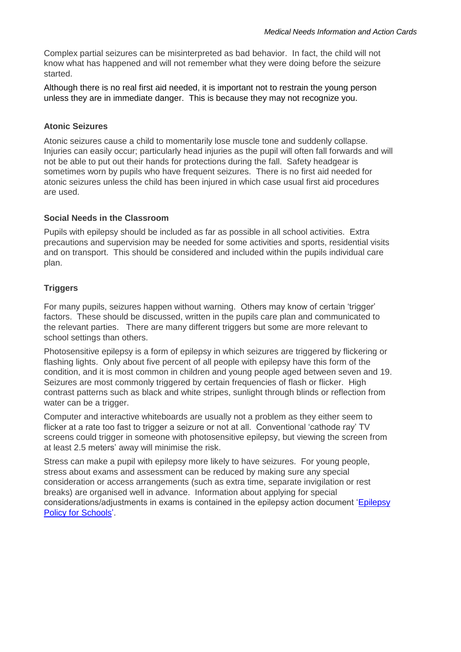Complex partial seizures can be misinterpreted as bad behavior. In fact, the child will not know what has happened and will not remember what they were doing before the seizure started.

Although there is no real first aid needed, it is important not to restrain the young person unless they are in immediate danger. This is because they may not recognize you.

#### **Atonic Seizures**

Atonic seizures cause a child to momentarily lose muscle tone and suddenly collapse. Injuries can easily occur; particularly head injuries as the pupil will often fall forwards and will not be able to put out their hands for protections during the fall. Safety headgear is sometimes worn by pupils who have frequent seizures. There is no first aid needed for atonic seizures unless the child has been injured in which case usual first aid procedures are used.

#### **Social Needs in the Classroom**

Pupils with epilepsy should be included as far as possible in all school activities. Extra precautions and supervision may be needed for some activities and sports, residential visits and on transport. This should be considered and included within the pupils individual care plan.

## **Triggers**

For many pupils, seizures happen without warning. Others may know of certain 'trigger' factors. These should be discussed, written in the pupils care plan and communicated to the relevant parties. There are many different triggers but some are more relevant to school settings than others.

Photosensitive epilepsy is a form of epilepsy in which seizures are triggered by flickering or flashing lights. Only about five percent of all people with epilepsy have this form of the condition, and it is most common in children and young people aged between seven and 19. Seizures are most commonly triggered by certain frequencies of flash or flicker. High contrast patterns such as black and white stripes, sunlight through blinds or reflection from water can be a trigger.

Computer and interactive whiteboards are usually not a problem as they either seem to flicker at a rate too fast to trigger a seizure or not at all. Conventional 'cathode ray' TV screens could trigger in someone with photosensitive epilepsy, but viewing the screen from at least 2.5 meters' away will minimise the risk.

Stress can make a pupil with epilepsy more likely to have seizures. For young people, stress about exams and assessment can be reduced by making sure any special consideration or access arrangements (such as extra time, separate invigilation or rest breaks) are organised well in advance. Information about applying for special considerations/adjustments in exams is contained in the epilepsy action document ['Epilepsy](http://www.epilepsy.org.uk/sites/epilepsy/files/images/services/epilepsyaction_schoolspolicy.pdf)  [Policy for Schools'.](http://www.epilepsy.org.uk/sites/epilepsy/files/images/services/epilepsyaction_schoolspolicy.pdf)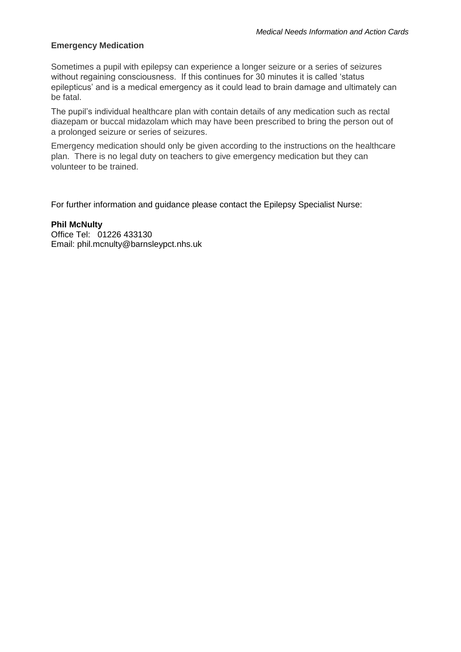## **Emergency Medication**

Sometimes a pupil with epilepsy can experience a longer seizure or a series of seizures without regaining consciousness. If this continues for 30 minutes it is called 'status epilepticus' and is a medical emergency as it could lead to brain damage and ultimately can be fatal.

The pupil's individual healthcare plan with contain details of any medication such as rectal diazepam or buccal midazolam which may have been prescribed to bring the person out of a prolonged seizure or series of seizures.

Emergency medication should only be given according to the instructions on the healthcare plan. There is no legal duty on teachers to give emergency medication but they can volunteer to be trained.

For further information and guidance please contact the Epilepsy Specialist Nurse:

#### **Phil McNulty**

Office Tel: 01226 433130 Email: phil.mcnulty@barnsleypct.nhs.uk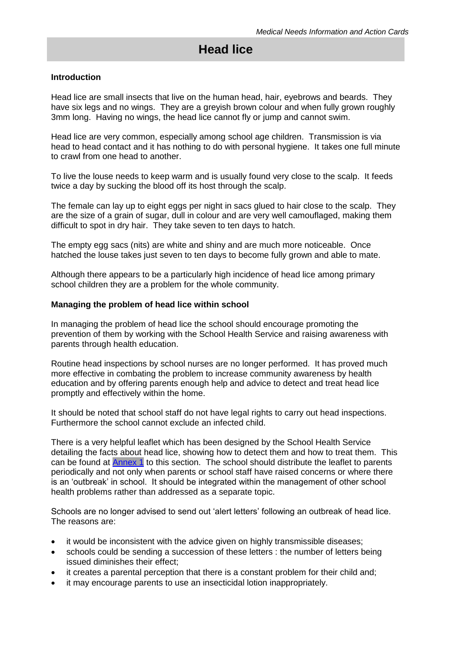# <span id="page-43-0"></span>**Head lice**

#### **Introduction**

Head lice are small insects that live on the human head, hair, eyebrows and beards. They have six legs and no wings. They are a greyish brown colour and when fully grown roughly 3mm long. Having no wings, the head lice cannot fly or jump and cannot swim.

Head lice are very common, especially among school age children. Transmission is via head to head contact and it has nothing to do with personal hygiene. It takes one full minute to crawl from one head to another.

To live the louse needs to keep warm and is usually found very close to the scalp. It feeds twice a day by sucking the blood off its host through the scalp.

The female can lay up to eight eggs per night in sacs glued to hair close to the scalp. They are the size of a grain of sugar, dull in colour and are very well camouflaged, making them difficult to spot in dry hair. They take seven to ten days to hatch.

The empty egg sacs (nits) are white and shiny and are much more noticeable. Once hatched the louse takes just seven to ten days to become fully grown and able to mate.

Although there appears to be a particularly high incidence of head lice among primary school children they are a problem for the whole community.

#### **Managing the problem of head lice within school**

In managing the problem of head lice the school should encourage promoting the prevention of them by working with the School Health Service and raising awareness with parents through health education.

Routine head inspections by school nurses are no longer performed. It has proved much more effective in combating the problem to increase community awareness by health education and by offering parents enough help and advice to detect and treat head lice promptly and effectively within the home.

It should be noted that school staff do not have legal rights to carry out head inspections. Furthermore the school cannot exclude an infected child.

There is a very helpful leaflet which has been designed by the School Health Service detailing the facts about head lice, showing how to detect them and how to treat them. This can be found at [Annex 1](#page-45-0) to this section. The school should distribute the leaflet to parents periodically and not only when parents or school staff have raised concerns or where there is an 'outbreak' in school. It should be integrated within the management of other school health problems rather than addressed as a separate topic.

Schools are no longer advised to send out 'alert letters' following an outbreak of head lice. The reasons are:

- it would be inconsistent with the advice given on highly transmissible diseases;
- schools could be sending a succession of these letters : the number of letters being issued diminishes their effect;
- it creates a parental perception that there is a constant problem for their child and;
- it may encourage parents to use an insecticidal lotion inappropriately.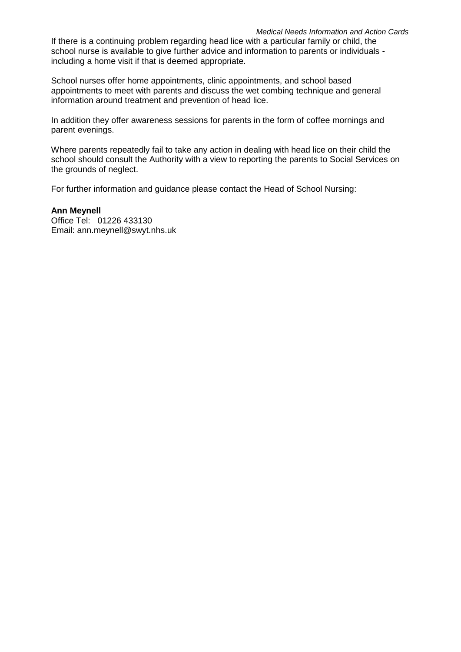#### *Medical Needs Information and Action Cards*

If there is a continuing problem regarding head lice with a particular family or child, the school nurse is available to give further advice and information to parents or individuals including a home visit if that is deemed appropriate.

School nurses offer home appointments, clinic appointments, and school based appointments to meet with parents and discuss the wet combing technique and general information around treatment and prevention of head lice.

In addition they offer awareness sessions for parents in the form of coffee mornings and parent evenings.

Where parents repeatedly fail to take any action in dealing with head lice on their child the school should consult the Authority with a view to reporting the parents to Social Services on the grounds of neglect.

For further information and guidance please contact the Head of School Nursing:

## **Ann Meynell**

Office Tel: 01226 433130 Email: ann.meynell@swyt.nhs.uk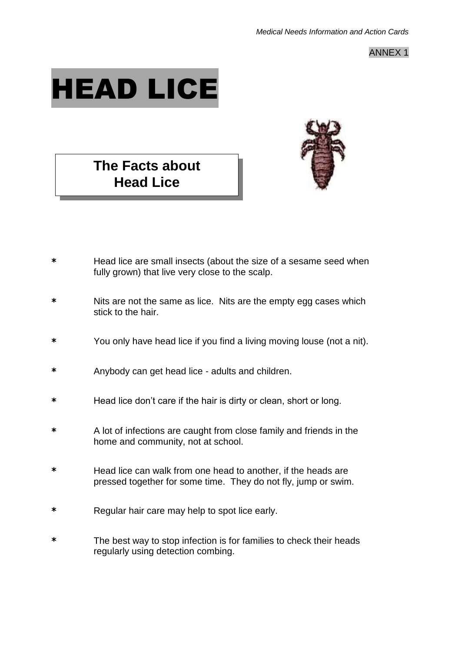ANNEX 1

<span id="page-45-0"></span>

# **The Facts about Head Lice**



- **\*** Head lice are small insects (about the size of a sesame seed when fully grown) that live very close to the scalp.
- **\*** Nits are not the same as lice. Nits are the empty egg cases which stick to the hair.
- **\*** You only have head lice if you find a living moving louse (not a nit).
- **\*** Anybody can get head lice adults and children.
- **\*** Head lice don't care if the hair is dirty or clean, short or long.
- **\*** A lot of infections are caught from close family and friends in the home and community, not at school.
- **\*** Head lice can walk from one head to another, if the heads are pressed together for some time. They do not fly, jump or swim.
- **\*** Regular hair care may help to spot lice early.
- **\*** The best way to stop infection is for families to check their heads regularly using detection combing.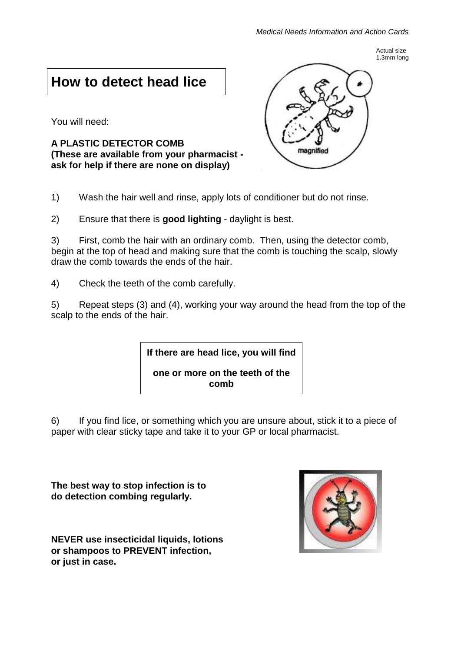Actual size 1.3mm long

# **How to detect head lice**

You will need:

**A PLASTIC DETECTOR COMB (These are available from your pharmacist ask for help if there are none on display)**



1) Wash the hair well and rinse, apply lots of conditioner but do not rinse.

2) Ensure that there is **good lighting** - daylight is best.

3) First, comb the hair with an ordinary comb. Then, using the detector comb, begin at the top of head and making sure that the comb is touching the scalp, slowly draw the comb towards the ends of the hair.

4) Check the teeth of the comb carefully.

5) Repeat steps (3) and (4), working your way around the head from the top of the scalp to the ends of the hair.

**If there are head lice, you will find** 

**one or more on the teeth of the comb**

6) If you find lice, or something which you are unsure about, stick it to a piece of paper with clear sticky tape and take it to your GP or local pharmacist.

**The best way to stop infection is to do detection combing regularly.**

**NEVER use insecticidal liquids, lotions or shampoos to PREVENT infection, or just in case.**

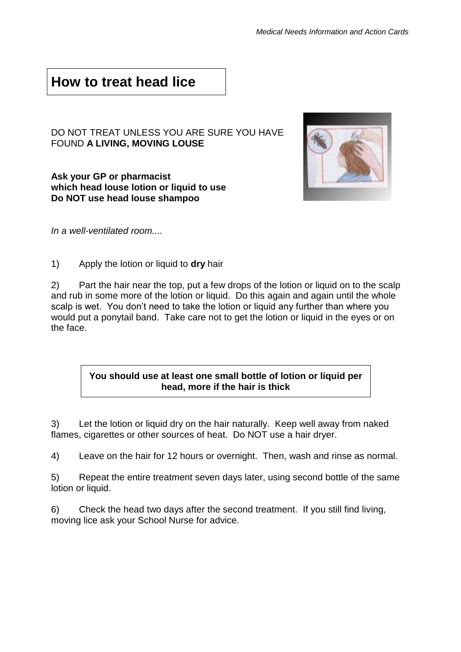# **How to treat head lice**

## DO NOT TREAT UNLESS YOU ARE SURE YOU HAVE FOUND **A LIVING, MOVING LOUSE**

**Ask your GP or pharmacist which head louse lotion or liquid to use Do NOT use head louse shampoo**



*In a well-ventilated room....*

1) Apply the lotion or liquid to **dry** hair

2) Part the hair near the top, put a few drops of the lotion or liquid on to the scalp and rub in some more of the lotion or liquid. Do this again and again until the whole scalp is wet. You don't need to take the lotion or liquid any further than where you would put a ponytail band. Take care not to get the lotion or liquid in the eyes or on the face.

## **You should use at least one small bottle of lotion or liquid per head, more if the hair is thick**

3) Let the lotion or liquid dry on the hair naturally. Keep well away from naked flames, cigarettes or other sources of heat. Do NOT use a hair dryer.

4) Leave on the hair for 12 hours or overnight. Then, wash and rinse as normal.

5) Repeat the entire treatment seven days later, using second bottle of the same lotion or liquid.

6) Check the head two days after the second treatment. If you still find living, moving lice ask your School Nurse for advice.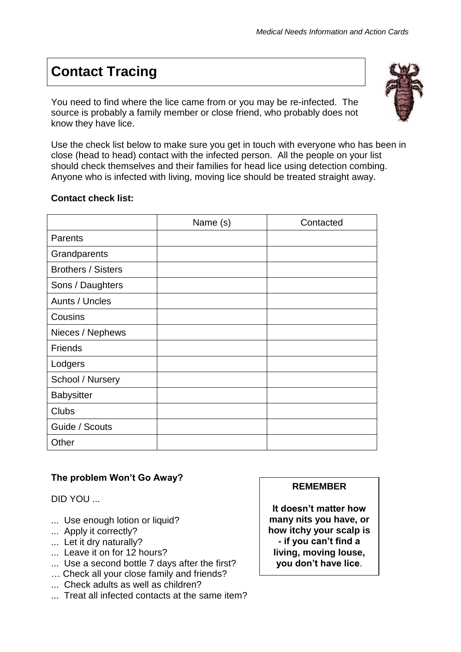# **Contact Tracing**

You need to find where the lice came from or you may be re-infected. The source is probably a family member or close friend, who probably does not know they have lice.



Use the check list below to make sure you get in touch with everyone who has been in close (head to head) contact with the infected person. All the people on your list should check themselves and their families for head lice using detection combing. Anyone who is infected with living, moving lice should be treated straight away.

## **Contact check list:**

|                           | Name (s) | Contacted |
|---------------------------|----------|-----------|
| Parents                   |          |           |
| Grandparents              |          |           |
| <b>Brothers / Sisters</b> |          |           |
| Sons / Daughters          |          |           |
| Aunts / Uncles            |          |           |
| Cousins                   |          |           |
| Nieces / Nephews          |          |           |
| <b>Friends</b>            |          |           |
| Lodgers                   |          |           |
| School / Nursery          |          |           |
| <b>Babysitter</b>         |          |           |
| <b>Clubs</b>              |          |           |
| Guide / Scouts            |          |           |
| Other                     |          |           |

## **The problem Won't Go Away?**

DID YOU ...

- ... Use enough lotion or liquid?
- ... Apply it correctly?
- ... Let it dry naturally?
- ... Leave it on for 12 hours?
- ... Use a second bottle 7 days after the first?
- … Check all your close family and friends?
- ... Check adults as well as children?
- ... Treat all infected contacts at the same item?

## **REMEMBER**

**It doesn't matter how many nits you have, or how itchy your scalp is - if you can't find a living, moving louse, you don't have lice**.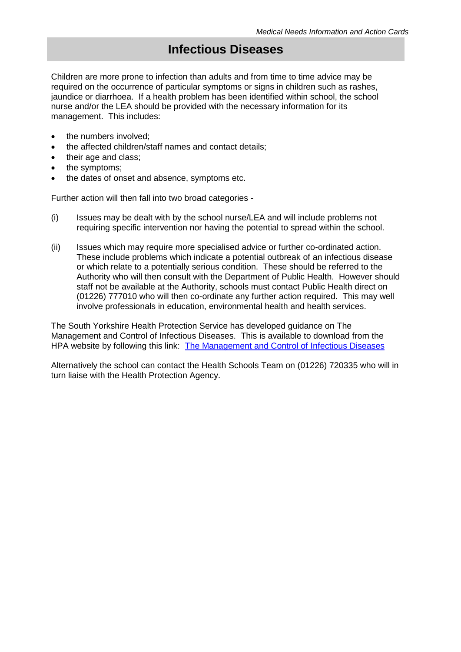# **Infectious Diseases**

<span id="page-49-0"></span>Children are more prone to infection than adults and from time to time advice may be required on the occurrence of particular symptoms or signs in children such as rashes, jaundice or diarrhoea. If a health problem has been identified within school, the school nurse and/or the LEA should be provided with the necessary information for its management. This includes:

- the numbers involved:
- the affected children/staff names and contact details;
- their age and class;
- the symptoms;
- the dates of onset and absence, symptoms etc.

Further action will then fall into two broad categories -

- (i) Issues may be dealt with by the school nurse/LEA and will include problems not requiring specific intervention nor having the potential to spread within the school.
- (ii) Issues which may require more specialised advice or further co-ordinated action. These include problems which indicate a potential outbreak of an infectious disease or which relate to a potentially serious condition. These should be referred to the Authority who will then consult with the Department of Public Health. However should staff not be available at the Authority, schools must contact Public Health direct on (01226) 777010 who will then co-ordinate any further action required. This may well involve professionals in education, environmental health and health services.

The South Yorkshire Health Protection Service has developed guidance on The Management and Control of Infectious Diseases. This is available to download from the HPA website by following this link: [The Management and Control of Infectious Diseases](http://www.hpa.org.uk/web/HPAwebFile/HPAweb_C/1194947358374)

Alternatively the school can contact the Health Schools Team on (01226) 720335 who will in turn liaise with the Health Protection Agency.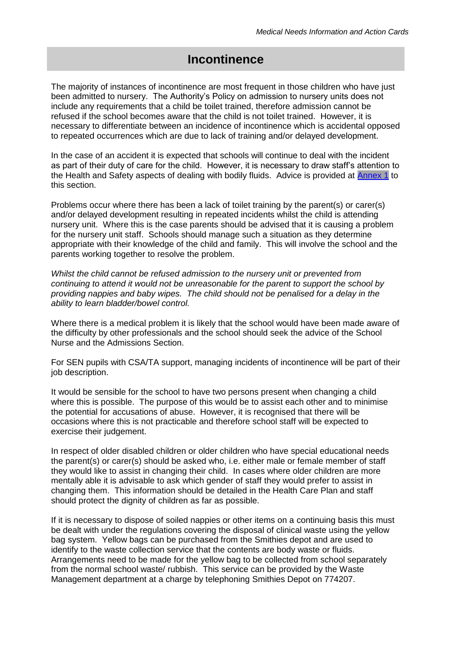# **Incontinence**

<span id="page-50-0"></span>The majority of instances of incontinence are most frequent in those children who have just been admitted to nursery. The Authority's Policy on admission to nursery units does not include any requirements that a child be toilet trained, therefore admission cannot be refused if the school becomes aware that the child is not toilet trained. However, it is necessary to differentiate between an incidence of incontinence which is accidental opposed to repeated occurrences which are due to lack of training and/or delayed development.

In the case of an accident it is expected that schools will continue to deal with the incident as part of their duty of care for the child. However, it is necessary to draw staff's attention to the Health and Safety aspects of dealing with bodily fluids. Advice is provided at [Annex 1](#page-51-0) to this section.

Problems occur where there has been a lack of toilet training by the parent(s) or carer(s) and/or delayed development resulting in repeated incidents whilst the child is attending nursery unit. Where this is the case parents should be advised that it is causing a problem for the nursery unit staff. Schools should manage such a situation as they determine appropriate with their knowledge of the child and family. This will involve the school and the parents working together to resolve the problem.

*Whilst the child cannot be refused admission to the nursery unit or prevented from continuing to attend it would not be unreasonable for the parent to support the school by providing nappies and baby wipes. The child should not be penalised for a delay in the ability to learn bladder/bowel control.*

Where there is a medical problem it is likely that the school would have been made aware of the difficulty by other professionals and the school should seek the advice of the School Nurse and the Admissions Section.

For SEN pupils with CSA/TA support, managing incidents of incontinence will be part of their job description.

It would be sensible for the school to have two persons present when changing a child where this is possible. The purpose of this would be to assist each other and to minimise the potential for accusations of abuse. However, it is recognised that there will be occasions where this is not practicable and therefore school staff will be expected to exercise their judgement.

In respect of older disabled children or older children who have special educational needs the parent(s) or carer(s) should be asked who, i.e. either male or female member of staff they would like to assist in changing their child. In cases where older children are more mentally able it is advisable to ask which gender of staff they would prefer to assist in changing them. This information should be detailed in the Health Care Plan and staff should protect the dignity of children as far as possible.

If it is necessary to dispose of soiled nappies or other items on a continuing basis this must be dealt with under the regulations covering the disposal of clinical waste using the yellow bag system. Yellow bags can be purchased from the Smithies depot and are used to identify to the waste collection service that the contents are body waste or fluids. Arrangements need to be made for the yellow bag to be collected from school separately from the normal school waste/ rubbish. This service can be provided by the Waste Management department at a charge by telephoning Smithies Depot on 774207.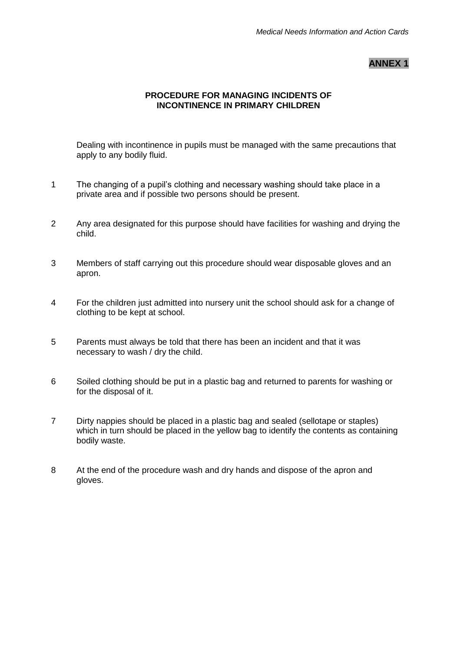## **ANNEX 1**

## **PROCEDURE FOR MANAGING INCIDENTS OF INCONTINENCE IN PRIMARY CHILDREN**

<span id="page-51-0"></span>Dealing with incontinence in pupils must be managed with the same precautions that apply to any bodily fluid.

- 1 The changing of a pupil's clothing and necessary washing should take place in a private area and if possible two persons should be present.
- 2 Any area designated for this purpose should have facilities for washing and drying the child.
- 3 Members of staff carrying out this procedure should wear disposable gloves and an apron.
- 4 For the children just admitted into nursery unit the school should ask for a change of clothing to be kept at school.
- 5 Parents must always be told that there has been an incident and that it was necessary to wash / dry the child.
- 6 Soiled clothing should be put in a plastic bag and returned to parents for washing or for the disposal of it.
- 7 Dirty nappies should be placed in a plastic bag and sealed (sellotape or staples) which in turn should be placed in the yellow bag to identify the contents as containing bodily waste.
- 8 At the end of the procedure wash and dry hands and dispose of the apron and gloves.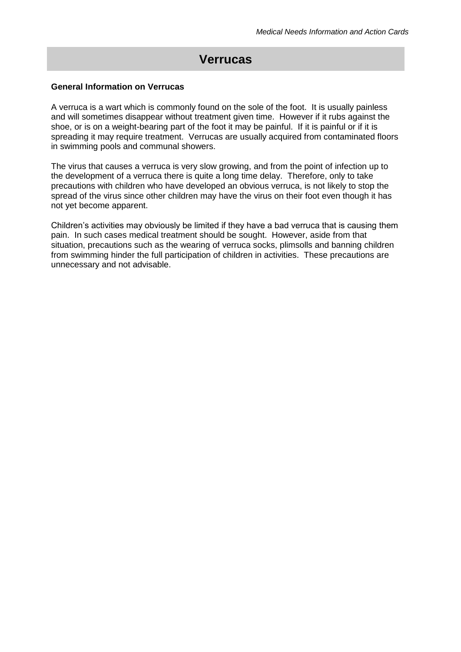# **Verrucas**

#### **General Information on Verrucas**

A verruca is a wart which is commonly found on the sole of the foot. It is usually painless and will sometimes disappear without treatment given time. However if it rubs against the shoe, or is on a weight-bearing part of the foot it may be painful. If it is painful or if it is spreading it may require treatment. Verrucas are usually acquired from contaminated floors in swimming pools and communal showers.

The virus that causes a verruca is very slow growing, and from the point of infection up to the development of a verruca there is quite a long time delay. Therefore, only to take precautions with children who have developed an obvious verruca, is not likely to stop the spread of the virus since other children may have the virus on their foot even though it has not yet become apparent.

Children's activities may obviously be limited if they have a bad verruca that is causing them pain. In such cases medical treatment should be sought. However, aside from that situation, precautions such as the wearing of verruca socks, plimsolls and banning children from swimming hinder the full participation of children in activities. These precautions are unnecessary and not advisable.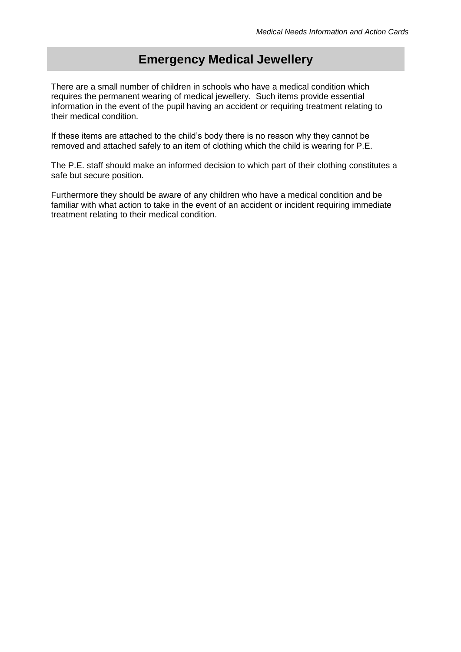# **Emergency Medical Jewellery**

<span id="page-53-0"></span>There are a small number of children in schools who have a medical condition which requires the permanent wearing of medical jewellery. Such items provide essential information in the event of the pupil having an accident or requiring treatment relating to their medical condition.

If these items are attached to the child's body there is no reason why they cannot be removed and attached safely to an item of clothing which the child is wearing for P.E.

The P.E. staff should make an informed decision to which part of their clothing constitutes a safe but secure position.

Furthermore they should be aware of any children who have a medical condition and be familiar with what action to take in the event of an accident or incident requiring immediate treatment relating to their medical condition.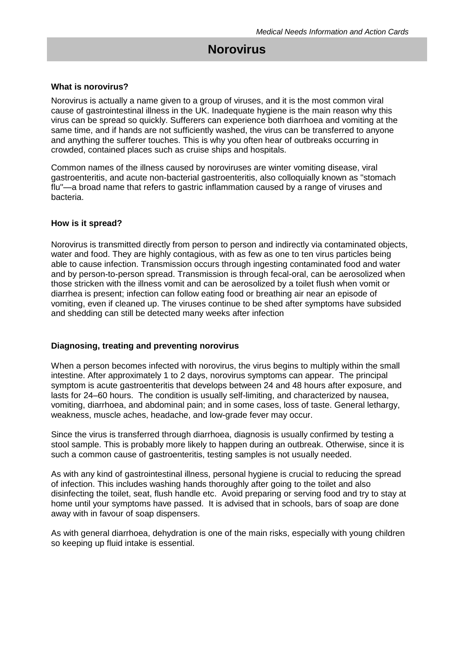## <span id="page-54-0"></span>**Norovirus**

#### **What is norovirus?**

Norovirus is actually a name given to a group of viruses, and it is the most common viral cause of gastrointestinal illness in the UK. Inadequate hygiene is the main reason why this virus can be spread so quickly. Sufferers can experience both diarrhoea and vomiting at the same time, and if hands are not sufficiently washed, the virus can be transferred to anyone and anything the sufferer touches. This is why you often hear of outbreaks occurring in crowded, contained places such as cruise ships and hospitals.

Common names of the illness caused by noroviruses are winter vomiting disease, viral [gastroenteritis,](http://en.wikipedia.org/wiki/Gastroenteritis) and acute non-bacterial gastroenteritis, also colloquially known as "stomach flu"—a broad name that refers to gastric inflammation caused by a range of viruses and bacteria.

#### **How is it spread?**

Norovirus is transmitted directly from person to person and indirectly via contaminated objects, water and food. They are highly contagious, with as few as one to ten virus particles being able to cause infection. Transmission occurs through ingesting contaminated food and water and by person-to-person spread. Transmission is through fecal-oral, can be aerosolized when those stricken with the illness vomit and can be aerosolized by a toilet flush when vomit or diarrhea is present; infection can follow eating food or breathing air near an episode of vomiting, even if cleaned up. The viruses continue to be shed after symptoms have subsided and shedding can still be detected many weeks after infection

#### **Diagnosing, treating and preventing norovirus**

When a person becomes infected with norovirus, the virus begins to multiply within the small intestine. After approximately 1 to 2 days, norovirus symptoms can appear. The principal symptom is acute gastroenteritis that develops between 24 and 48 hours after exposure, and lasts for 24–60 hours. The condition is usually self-limiting, and characterized by nausea, vomiting, diarrhoea, and abdominal pain; and in some cases, loss of taste. General lethargy, weakness, muscle aches, headache, and low-grade fever may occur.

Since the virus is transferred through diarrhoea, diagnosis is usually confirmed by testing a stool sample. This is probably more likely to happen during an outbreak. Otherwise, since it is such a common cause of gastroenteritis, testing samples is not usually needed.

As with any kind of gastrointestinal illness, personal hygiene is crucial to reducing the spread of infection. This includes washing hands thoroughly after going to the toilet and also disinfecting the toilet, seat, flush handle etc. Avoid preparing or serving food and try to stay at home until your symptoms have passed. It is advised that in schools, bars of soap are done away with in favour of soap dispensers.

As with general diarrhoea, dehydration is one of the main risks, especially with young children so keeping up fluid intake is essential.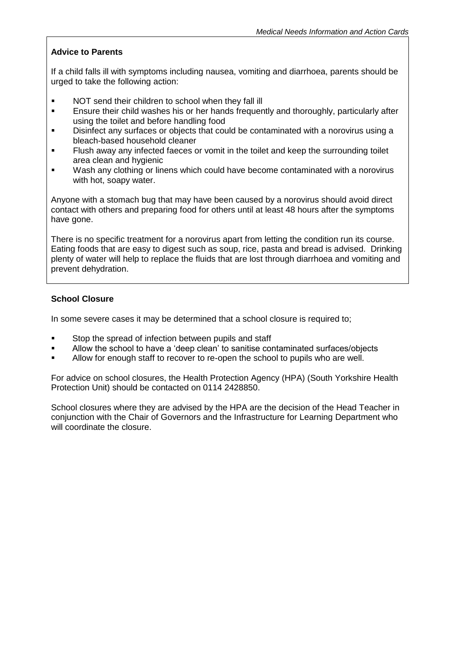## **Advice to Parents**

If a child falls ill with symptoms including nausea, vomiting and diarrhoea, parents should be urged to take the following action:

- **NOT send their children to school when they fall ill**
- **Ensure their child washes his or her hands frequently and thoroughly, particularly after** using the toilet and before handling food
- Disinfect any surfaces or objects that could be contaminated with a norovirus using a bleach-based household cleaner
- Flush away any infected faeces or vomit in the toilet and keep the surrounding toilet area clean and hygienic
- **Wash any clothing or linens which could have become contaminated with a norovirus** with hot, soapy water.

Anyone with a stomach bug that may have been caused by a norovirus should avoid direct contact with others and preparing food for others until at least 48 hours after the symptoms have gone.

There is no specific treatment for a norovirus apart from letting the condition run its course. Eating foods that are easy to digest such as soup, rice, pasta and bread is advised. Drinking plenty of water will help to replace the fluids that are lost through diarrhoea and vomiting and prevent dehydration.

## **School Closure**

In some severe cases it may be determined that a school closure is required to;

- Stop the spread of infection between pupils and staff
- Allow the school to have a 'deep clean' to sanitise contaminated surfaces/objects
- Allow for enough staff to recover to re-open the school to pupils who are well.

For advice on school closures, the Health Protection Agency (HPA) (South Yorkshire Health Protection Unit) should be contacted on 0114 2428850.

School closures where they are advised by the HPA are the decision of the Head Teacher in conjunction with the Chair of Governors and the Infrastructure for Learning Department who will coordinate the closure.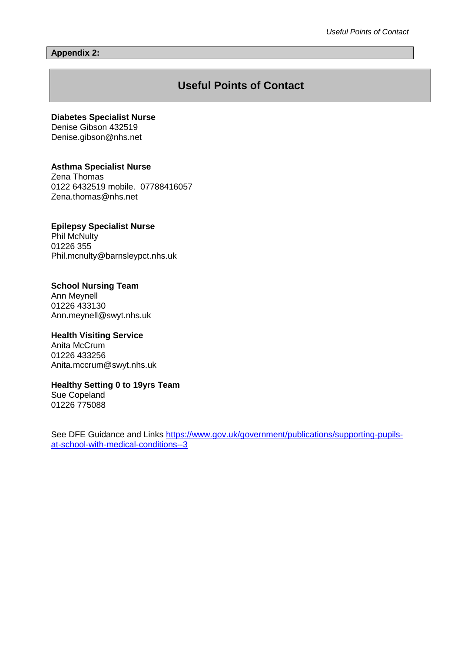#### <span id="page-56-0"></span>**Appendix 2:**

## **Useful Points of Contact**

#### **Diabetes Specialist Nurse**

Denise Gibson 432519 Denise.gibson@nhs.net

#### **Asthma Specialist Nurse**

Zena Thomas 0122 6432519 mobile. 07788416057 Zena.thomas@nhs.net

#### **Epilepsy Specialist Nurse** Phil McNulty

01226 355 Phil.mcnulty@barnsleypct.nhs.uk

## **School Nursing Team**

Ann Meynell 01226 433130 Ann.meynell@swyt.nhs.uk

## **Health Visiting Service**

Anita McCrum 01226 433256 Anita.mccrum@swyt.nhs.uk

#### **Healthy Setting 0 to 19yrs Team**

Sue Copeland 01226 775088

See DFE Guidance and Links [https://www.gov.uk/government/publications/supporting-pupils](https://www.gov.uk/government/publications/supporting-pupils-at-school-with-medical-conditions--3)[at-school-with-medical-conditions--3](https://www.gov.uk/government/publications/supporting-pupils-at-school-with-medical-conditions--3)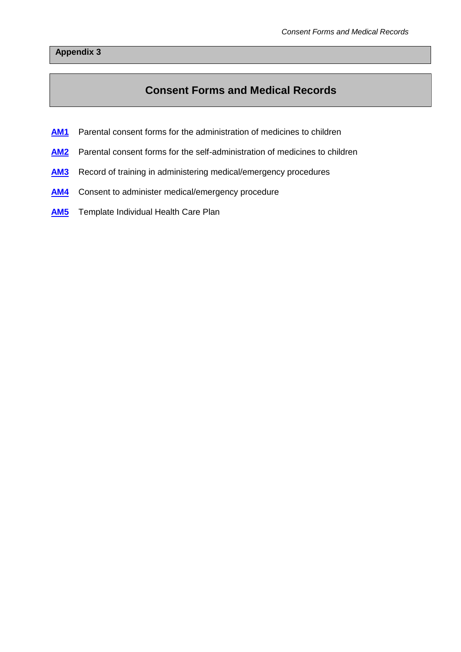## <span id="page-57-0"></span>**Appendix 3**

# **Consent Forms and Medical Records**

- **[AM1](#page-58-0)** Parental consent forms for the administration of medicines to children
- [AM2](#page-60-1) Parental consent forms for the self-administration of medicines to children
- **[AM3](#page-62-1)** Record of training in administering medical/emergency procedures
- **[AM4](#page-65-0)** Consent to administer medical/emergency procedure
- **[AM5](#page-66-1)** Template Individual Health Care Plan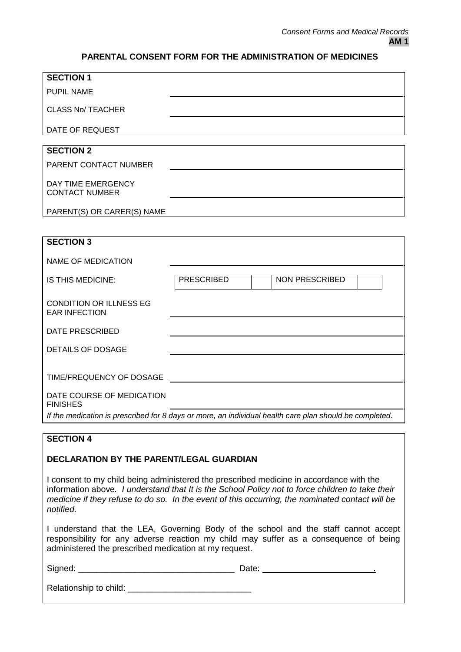## **PARENTAL CONSENT FORM FOR THE ADMINISTRATION OF MEDICINES**

<span id="page-58-0"></span>

| <b>SECTION 1</b>                                                                                        |                   |                       |
|---------------------------------------------------------------------------------------------------------|-------------------|-----------------------|
| <b>PUPIL NAME</b>                                                                                       |                   |                       |
| <b>CLASS No/ TEACHER</b>                                                                                |                   |                       |
| DATE OF REQUEST                                                                                         |                   |                       |
| <b>SECTION 2</b>                                                                                        |                   |                       |
| PARENT CONTACT NUMBER                                                                                   |                   |                       |
| DAY TIME EMERGENCY<br><b>CONTACT NUMBER</b>                                                             |                   |                       |
| PARENT(S) OR CARER(S) NAME                                                                              |                   |                       |
|                                                                                                         |                   |                       |
| <b>SECTION 3</b>                                                                                        |                   |                       |
| <b>NAME OF MEDICATION</b>                                                                               |                   |                       |
| IS THIS MEDICINE:                                                                                       | <b>PRESCRIBED</b> | <b>NON PRESCRIBED</b> |
|                                                                                                         |                   |                       |
| <b>CONDITION OR ILLNESS EG</b><br><b>EAR INFECTION</b>                                                  |                   |                       |
| <b>DATE PRESCRIBED</b>                                                                                  |                   |                       |
| <b>DETAILS OF DOSAGE</b>                                                                                |                   |                       |
|                                                                                                         |                   |                       |
| TIME/FREQUENCY OF DOSAGE                                                                                |                   |                       |
| DATE COURSE OF MEDICATION<br><b>FINISHES</b>                                                            |                   |                       |
| If the medication is prescribed for 8 days or more, an individual health care plan should be completed. |                   |                       |
| <b>SECTION 4</b>                                                                                        |                   |                       |
|                                                                                                         |                   |                       |
| DECLARATION BY THE PARENT/LEGAL GUARDIAN                                                                |                   |                       |
| I consent to my child being administered the prescribed medicine in accordance with the                 |                   |                       |
| information above. I understand that It is the School Policy not to force children to take their        |                   |                       |

*medicine if they refuse to do so. In the event of this occurring, the nominated contact will be notified.*

I understand that the LEA, Governing Body of the school and the staff cannot accept responsibility for any adverse reaction my child may suffer as a consequence of being administered the prescribed medication at my request.

| Signed:                | Date: |
|------------------------|-------|
| Relationship to child: |       |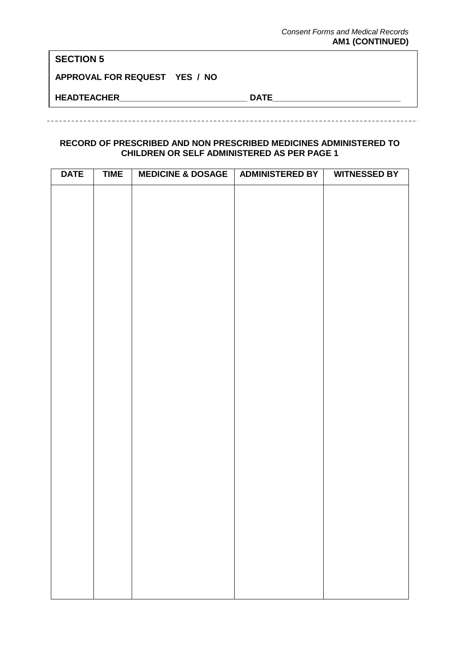## **SECTION 5**

**APPROVAL FOR REQUEST YES / NO**

**HEADTEACHER\_\_\_\_\_\_\_\_\_\_\_\_\_\_\_\_\_\_\_\_\_\_\_\_\_\_\_ DATE\_\_\_\_\_\_\_\_\_\_\_\_\_\_\_\_\_\_\_\_\_\_\_\_\_\_\_**

## **RECORD OF PRESCRIBED AND NON PRESCRIBED MEDICINES ADMINISTERED TO CHILDREN OR SELF ADMINISTERED AS PER PAGE 1**

| <b>DATE</b> | <b>TIME</b> | <b>MEDICINE &amp; DOSAGE</b> | <b>ADMINISTERED BY</b> | <b>WITNESSED BY</b> |
|-------------|-------------|------------------------------|------------------------|---------------------|
|             |             |                              |                        |                     |
|             |             |                              |                        |                     |
|             |             |                              |                        |                     |
|             |             |                              |                        |                     |
|             |             |                              |                        |                     |
|             |             |                              |                        |                     |
|             |             |                              |                        |                     |
|             |             |                              |                        |                     |
|             |             |                              |                        |                     |
|             |             |                              |                        |                     |
|             |             |                              |                        |                     |
|             |             |                              |                        |                     |
|             |             |                              |                        |                     |
|             |             |                              |                        |                     |
|             |             |                              |                        |                     |
|             |             |                              |                        |                     |
|             |             |                              |                        |                     |
|             |             |                              |                        |                     |
|             |             |                              |                        |                     |
|             |             |                              |                        |                     |
|             |             |                              |                        |                     |
|             |             |                              |                        |                     |
|             |             |                              |                        |                     |
|             |             |                              |                        |                     |
|             |             |                              |                        |                     |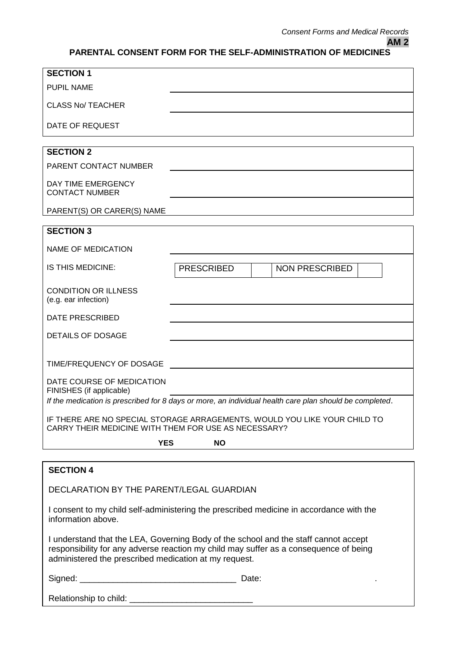## <span id="page-60-1"></span><span id="page-60-0"></span>**PARENTAL CONSENT FORM FOR THE SELF-ADMINISTRATION OF MEDICINES**

| <b>SECTION 1</b>                                                                                                                                                                                                                      |                         |       |                       |
|---------------------------------------------------------------------------------------------------------------------------------------------------------------------------------------------------------------------------------------|-------------------------|-------|-----------------------|
| <b>PUPIL NAME</b>                                                                                                                                                                                                                     |                         |       |                       |
| <b>CLASS No/ TEACHER</b>                                                                                                                                                                                                              |                         |       |                       |
|                                                                                                                                                                                                                                       |                         |       |                       |
| DATE OF REQUEST                                                                                                                                                                                                                       |                         |       |                       |
| <b>SECTION 2</b>                                                                                                                                                                                                                      |                         |       |                       |
| PARENT CONTACT NUMBER                                                                                                                                                                                                                 |                         |       |                       |
| DAY TIME EMERGENCY<br><b>CONTACT NUMBER</b>                                                                                                                                                                                           |                         |       |                       |
| PARENT(S) OR CARER(S) NAME                                                                                                                                                                                                            |                         |       |                       |
| <b>SECTION 3</b>                                                                                                                                                                                                                      |                         |       |                       |
| <b>NAME OF MEDICATION</b>                                                                                                                                                                                                             |                         |       |                       |
| IS THIS MEDICINE:                                                                                                                                                                                                                     |                         |       |                       |
|                                                                                                                                                                                                                                       | <b>PRESCRIBED</b>       |       | <b>NON PRESCRIBED</b> |
| <b>CONDITION OR ILLNESS</b><br>(e.g. ear infection)                                                                                                                                                                                   |                         |       |                       |
| <b>DATE PRESCRIBED</b>                                                                                                                                                                                                                |                         |       |                       |
| <b>DETAILS OF DOSAGE</b>                                                                                                                                                                                                              |                         |       |                       |
| TIME/FREQUENCY OF DOSAGE                                                                                                                                                                                                              |                         |       |                       |
| DATE COURSE OF MEDICATION<br>FINISHES (if applicable)                                                                                                                                                                                 |                         |       |                       |
| If the medication is prescribed for 8 days or more, an individual health care plan should be completed.                                                                                                                               |                         |       |                       |
| IF THERE ARE NO SPECIAL STORAGE ARRAGEMENTS, WOULD YOU LIKE YOUR CHILD TO<br>CARRY THEIR MEDICINE WITH THEM FOR USE AS NECESSARY?                                                                                                     |                         |       |                       |
|                                                                                                                                                                                                                                       | <b>YES</b><br><b>NO</b> |       |                       |
|                                                                                                                                                                                                                                       |                         |       |                       |
| <b>SECTION 4</b>                                                                                                                                                                                                                      |                         |       |                       |
| DECLARATION BY THE PARENT/LEGAL GUARDIAN                                                                                                                                                                                              |                         |       |                       |
| I consent to my child self-administering the prescribed medicine in accordance with the<br>information above.                                                                                                                         |                         |       |                       |
| I understand that the LEA, Governing Body of the school and the staff cannot accept<br>responsibility for any adverse reaction my child may suffer as a consequence of being<br>administered the prescribed medication at my request. |                         |       |                       |
|                                                                                                                                                                                                                                       |                         | Date: |                       |

Relationship to child: \_\_\_\_\_\_\_\_\_\_\_\_\_\_\_\_\_\_\_\_\_\_\_\_\_\_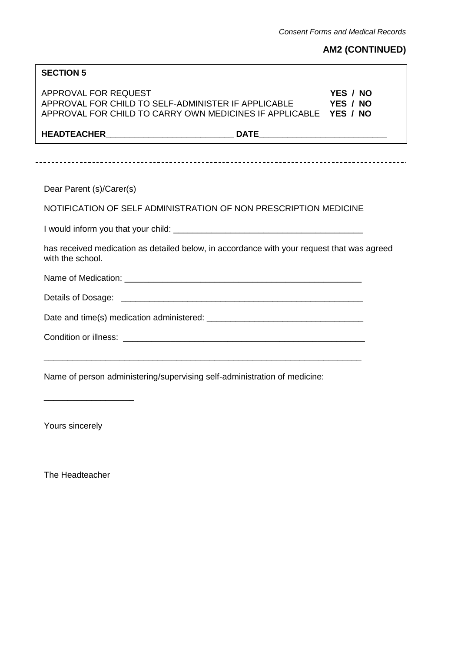# **AM2 (CONTINUED)**

| <b>SECTION 5</b>                                                                                                                                |                      |
|-------------------------------------------------------------------------------------------------------------------------------------------------|----------------------|
| APPROVAL FOR REQUEST<br>APPROVAL FOR CHILD TO SELF-ADMINISTER IF APPLICABLE<br>APPROVAL FOR CHILD TO CARRY OWN MEDICINES IF APPLICABLE YES / NO | YES / NO<br>YES / NO |
|                                                                                                                                                 |                      |
|                                                                                                                                                 |                      |
|                                                                                                                                                 |                      |
| Dear Parent (s)/Carer(s)                                                                                                                        |                      |
| NOTIFICATION OF SELF ADMINISTRATION OF NON PRESCRIPTION MEDICINE                                                                                |                      |
|                                                                                                                                                 |                      |
| has received medication as detailed below, in accordance with your request that was agreed<br>with the school.                                  |                      |
|                                                                                                                                                 |                      |
|                                                                                                                                                 |                      |
|                                                                                                                                                 |                      |
|                                                                                                                                                 |                      |
| <u> 1989 - Johann Harry Harry Harry Harry Harry Harry Harry Harry Harry Harry Harry Harry Harry Harry Harry Harry</u>                           |                      |
| Name of person administering/supervising self-administration of medicine:                                                                       |                      |

Yours sincerely

 $\overline{a}$ 

\_\_\_\_\_\_\_\_\_\_\_\_\_\_\_\_\_\_\_

The Headteacher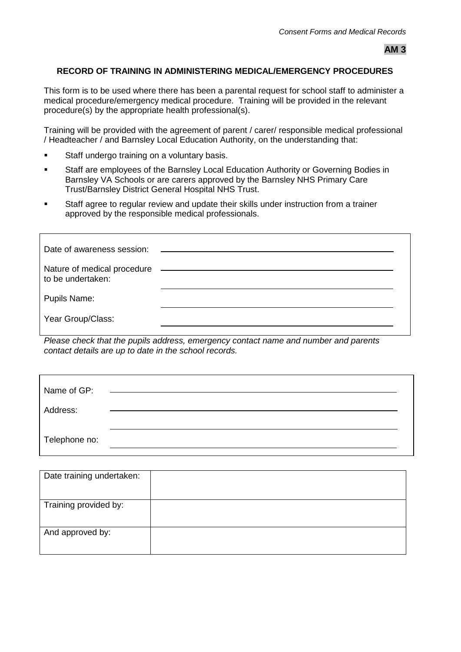## <span id="page-62-1"></span><span id="page-62-0"></span>**RECORD OF TRAINING IN ADMINISTERING MEDICAL/EMERGENCY PROCEDURES**

This form is to be used where there has been a parental request for school staff to administer a medical procedure/emergency medical procedure. Training will be provided in the relevant procedure(s) by the appropriate health professional(s).

Training will be provided with the agreement of parent / carer/ responsible medical professional / Headteacher / and Barnsley Local Education Authority, on the understanding that:

- **Staff undergo training on a voluntary basis.**
- Staff are employees of the Barnsley Local Education Authority or Governing Bodies in Barnsley VA Schools or are carers approved by the Barnsley NHS Primary Care Trust/Barnsley District General Hospital NHS Trust.
- Staff agree to regular review and update their skills under instruction from a trainer approved by the responsible medical professionals.

| Date of awareness session:                               |  |
|----------------------------------------------------------|--|
| Nature of medical procedure _______<br>to be undertaken: |  |
| <b>Pupils Name:</b>                                      |  |
| Year Group/Class:                                        |  |

*Please check that the pupils address, emergency contact name and number and parents contact details are up to date in the school records.*

| Name of GP:   |  |  |
|---------------|--|--|
| Address:      |  |  |
| Telephone no: |  |  |

| Date training undertaken: |  |
|---------------------------|--|
| Training provided by:     |  |
| And approved by:          |  |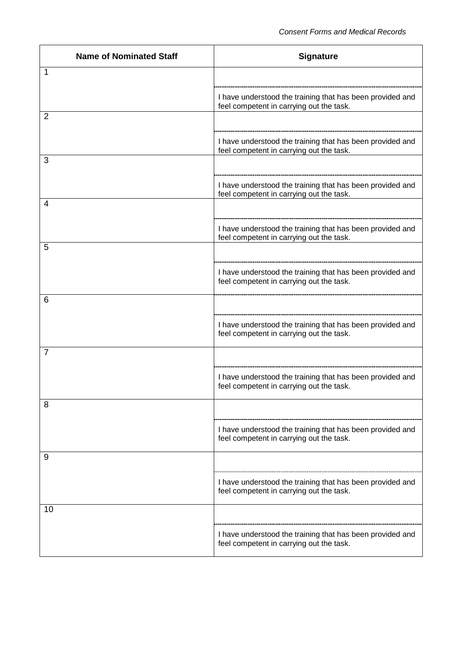| <b>Name of Nominated Staff</b> | <b>Signature</b>                                                                                      |
|--------------------------------|-------------------------------------------------------------------------------------------------------|
| 1                              |                                                                                                       |
|                                | I have understood the training that has been provided and<br>feel competent in carrying out the task. |
| 2                              |                                                                                                       |
|                                | I have understood the training that has been provided and<br>feel competent in carrying out the task. |
| 3                              |                                                                                                       |
|                                | I have understood the training that has been provided and<br>feel competent in carrying out the task. |
| 4                              |                                                                                                       |
|                                | I have understood the training that has been provided and<br>feel competent in carrying out the task. |
| 5                              |                                                                                                       |
|                                | I have understood the training that has been provided and<br>feel competent in carrying out the task. |
| 6                              |                                                                                                       |
|                                | I have understood the training that has been provided and<br>feel competent in carrying out the task. |
| $\overline{7}$                 |                                                                                                       |
|                                | I have understood the training that has been provided and<br>feel competent in carrying out the task. |
| 8                              |                                                                                                       |
|                                | I have understood the training that has been provided and<br>feel competent in carrying out the task. |
| 9                              |                                                                                                       |
|                                | I have understood the training that has been provided and<br>feel competent in carrying out the task. |
| 10                             |                                                                                                       |
|                                | I have understood the training that has been provided and<br>feel competent in carrying out the task. |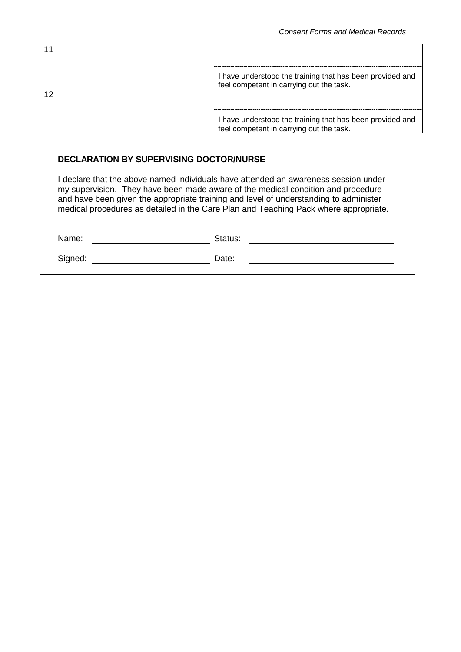| I have understood the training that has been provided and<br>feel competent in carrying out the task. |
|-------------------------------------------------------------------------------------------------------|
|                                                                                                       |
| I have understood the training that has been provided and<br>feel competent in carrying out the task. |

## **DECLARATION BY SUPERVISING DOCTOR/NURSE**

I declare that the above named individuals have attended an awareness session under my supervision. They have been made aware of the medical condition and procedure and have been given the appropriate training and level of understanding to administer medical procedures as detailed in the Care Plan and Teaching Pack where appropriate.

| Name:   | Status: |
|---------|---------|
| Signed: | Date:   |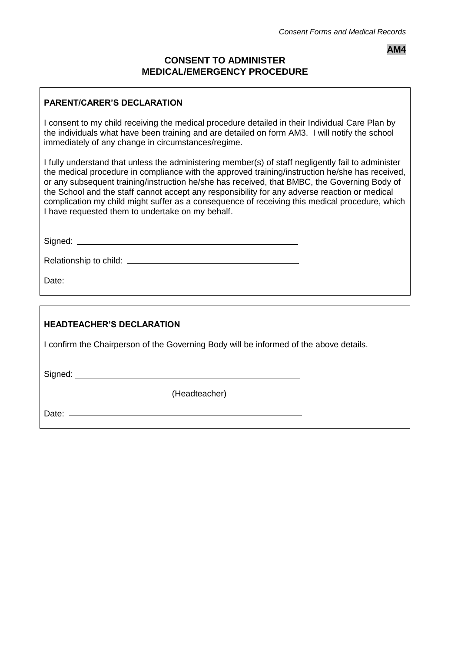## **AM4**

## **CONSENT TO ADMINISTER MEDICAL/EMERGENCY PROCEDURE**

## <span id="page-65-0"></span>**PARENT/CARER'S DECLARATION**

I consent to my child receiving the medical procedure detailed in their Individual Care Plan by the individuals what have been training and are detailed on form AM3. I will notify the school immediately of any change in circumstances/regime.

I fully understand that unless the administering member(s) of staff negligently fail to administer the medical procedure in compliance with the approved training/instruction he/she has received, or any subsequent training/instruction he/she has received, that BMBC, the Governing Body of the School and the staff cannot accept any responsibility for any adverse reaction or medical complication my child might suffer as a consequence of receiving this medical procedure, which I have requested them to undertake on my behalf.

Signed: **Signed: Signed: Signed: Signed: Signed: Signed: Signed: Signed: Signed: Signed: Signed: Signed: Signed: Signed: Signed: Signed: Signed: Signed: Signed: Signed: Signed: Sig** 

Relationship to child:

Date:

## **HEADTEACHER'S DECLARATION**

I confirm the Chairperson of the Governing Body will be informed of the above details.

Signed:

(Headteacher)

Date: **Date: Date: Date: Date: Date:**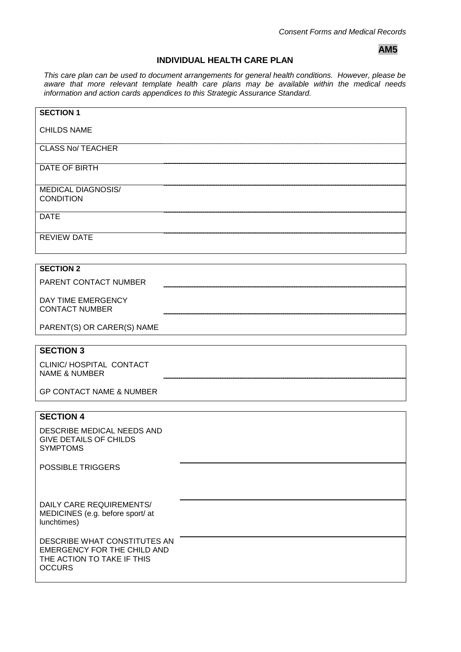## **AM5**

## **INDIVIDUAL HEALTH CARE PLAN**

<span id="page-66-1"></span><span id="page-66-0"></span>*This care plan can be used to document arrangements for general health conditions. However, please be aware that more relevant template health care plans may be available within the medical needs information and action cards appendices to this Strategic Assurance Standard.*

| <b>SECTION 1</b>                                                                                                  |
|-------------------------------------------------------------------------------------------------------------------|
| <b>CHILDS NAME</b>                                                                                                |
| <b>CLASS No/ TEACHER</b>                                                                                          |
| DATE OF BIRTH                                                                                                     |
| <b>MEDICAL DIAGNOSIS/</b><br><b>CONDITION</b>                                                                     |
| <b>DATE</b>                                                                                                       |
| <b>REVIEW DATE</b>                                                                                                |
| <b>SECTION 2</b>                                                                                                  |
| PARENT CONTACT NUMBER                                                                                             |
| DAY TIME EMERGENCY<br><b>CONTACT NUMBER</b>                                                                       |
| PARENT(S) OR CARER(S) NAME                                                                                        |
| <b>SECTION 3</b>                                                                                                  |
| CLINIC/ HOSPITAL CONTACT<br><b>NAME &amp; NUMBER</b>                                                              |
| <b>GP CONTACT NAME &amp; NUMBER</b>                                                                               |
|                                                                                                                   |
| <b>SECTION 4</b>                                                                                                  |
| DESCRIBE MEDICAL NEEDS AND<br><b>GIVE DETAILS OF CHILDS</b><br><b>SYMPTOMS</b>                                    |
| <b>POSSIBLE TRIGGERS</b>                                                                                          |
|                                                                                                                   |
| DAILY CARE REQUIREMENTS/<br>MEDICINES (e.g. before sport/ at<br>lunchtimes)                                       |
| DESCRIBE WHAT CONSTITUTES AN<br><b>EMERGENCY FOR THE CHILD AND</b><br>THE ACTION TO TAKE IF THIS<br><b>OCCURS</b> |